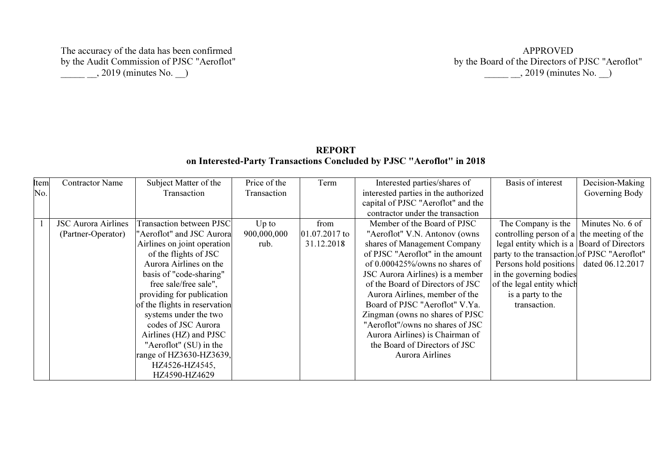The accuracy of the data has been confirmed by the Audit Commission of PJSC "Aeroflot"  $\_\_\_\_$ , 2019 (minutes No.  $\_\_\)$ 

| <b>REPORT</b>                                                         |  |
|-----------------------------------------------------------------------|--|
| on Interested-Party Transactions Concluded by PJSC "Aeroflot" in 2018 |  |

| Item | <b>Contractor Name</b>     | Subject Matter of the           | Price of the | Term            | Interested parties/shares of         | Basis of interest                            | Decision-Making  |
|------|----------------------------|---------------------------------|--------------|-----------------|--------------------------------------|----------------------------------------------|------------------|
| No.  |                            | Transaction                     | Transaction  |                 | interested parties in the authorized |                                              | Governing Body   |
|      |                            |                                 |              |                 | capital of PJSC "Aeroflot" and the   |                                              |                  |
|      |                            |                                 |              |                 | contractor under the transaction     |                                              |                  |
|      | <b>JSC Aurora Airlines</b> | <b>Transaction between PJSC</b> | $Up$ to      | from            | Member of the Board of PJSC          | The Company is the                           | Minutes No. 6 of |
|      | (Partner-Operator)         | "Aeroflot" and JSC Aurora       | 900,000,000  | $01.07.2017$ to | "Aeroflot" V.N. Antonov (owns        | controlling person of a the meeting of the   |                  |
|      |                            | Airlines on joint operation     | rub.         | 31.12.2018      | shares of Management Company         | legal entity which is a Board of Directors   |                  |
|      |                            | of the flights of JSC           |              |                 | of PJSC "Aeroflot" in the amount     | party to the transaction. of PJSC "Aeroflot" |                  |
|      |                            | Aurora Airlines on the          |              |                 | of $0.000425\%$ /owns no shares of   | Persons hold positions                       | dated 06.12.2017 |
|      |                            | basis of "code-sharing"         |              |                 | JSC Aurora Airlines) is a member     | in the governing bodies                      |                  |
|      |                            | free sale/free sale",           |              |                 | of the Board of Directors of JSC     | of the legal entity which                    |                  |
|      |                            | providing for publication       |              |                 | Aurora Airlines, member of the       | is a party to the                            |                  |
|      |                            | of the flights in reservation   |              |                 | Board of PJSC "Aeroflot" V.Ya.       | transaction.                                 |                  |
|      |                            | systems under the two           |              |                 | Zingman (owns no shares of PJSC)     |                                              |                  |
|      |                            | codes of JSC Aurora             |              |                 | "Aeroflot"/owns no shares of JSC     |                                              |                  |
|      |                            | Airlines (HZ) and PJSC          |              |                 | Aurora Airlines) is Chairman of      |                                              |                  |
|      |                            | "Aeroflot" (SU) in the          |              |                 | the Board of Directors of JSC        |                                              |                  |
|      |                            | range of HZ3630-HZ3639,         |              |                 | Aurora Airlines                      |                                              |                  |
|      |                            | HZ4526-HZ4545,                  |              |                 |                                      |                                              |                  |
|      |                            | HZ4590-HZ4629                   |              |                 |                                      |                                              |                  |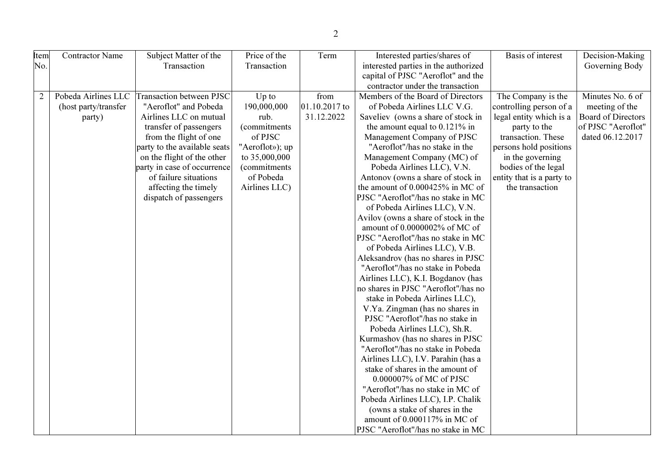| Item           | Contractor Name      | Subject Matter of the        | Price of the         | Term          | Interested parties/shares of         | <b>Basis of interest</b>  | Decision-Making           |
|----------------|----------------------|------------------------------|----------------------|---------------|--------------------------------------|---------------------------|---------------------------|
| No.            |                      | Transaction                  | Transaction          |               | interested parties in the authorized |                           | Governing Body            |
|                |                      |                              |                      |               | capital of PJSC "Aeroflot" and the   |                           |                           |
|                |                      |                              |                      |               | contractor under the transaction     |                           |                           |
| $\overline{2}$ | Pobeda Airlines LLC  | Transaction between PJSC     | $Up$ to              | from          | Members of the Board of Directors    | The Company is the        | Minutes No. 6 of          |
|                | (host party/transfer | "Aeroflot" and Pobeda        | 190,000,000          | 01.10.2017 to | of Pobeda Airlines LLC V.G.          | controlling person of a   | meeting of the            |
|                | party)               | Airlines LLC on mutual       | rub.                 | 31.12.2022    | Saveliev (owns a share of stock in   | legal entity which is a   | <b>Board of Directors</b> |
|                |                      | transfer of passengers       | (commitments)        |               | the amount equal to $0.121\%$ in     | party to the              | of PJSC "Aeroflot"        |
|                |                      | from the flight of one       | of PJSC              |               | Management Company of PJSC           | transaction. These        | dated 06.12.2017          |
|                |                      | party to the available seats | "Aeroflot»); up      |               | "Aeroflot"/has no stake in the       | persons hold positions    |                           |
|                |                      | on the flight of the other   | to 35,000,000        |               | Management Company (MC) of           | in the governing          |                           |
|                |                      | party in case of occurrence  | <i>(commitments)</i> |               | Pobeda Airlines LLC), V.N.           | bodies of the legal       |                           |
|                |                      | of failure situations        | of Pobeda            |               | Antonov (owns a share of stock in    | entity that is a party to |                           |
|                |                      | affecting the timely         | Airlines LLC)        |               | the amount of 0.000425% in MC of     | the transaction           |                           |
|                |                      | dispatch of passengers       |                      |               | PJSC "Aeroflot"/has no stake in MC   |                           |                           |
|                |                      |                              |                      |               | of Pobeda Airlines LLC), V.N.        |                           |                           |
|                |                      |                              |                      |               | Avilov (owns a share of stock in the |                           |                           |
|                |                      |                              |                      |               | amount of 0.0000002% of MC of        |                           |                           |
|                |                      |                              |                      |               | PJSC "Aeroflot"/has no stake in MC   |                           |                           |
|                |                      |                              |                      |               | of Pobeda Airlines LLC), V.B.        |                           |                           |
|                |                      |                              |                      |               | Aleksandrov (has no shares in PJSC   |                           |                           |
|                |                      |                              |                      |               | "Aeroflot"/has no stake in Pobeda    |                           |                           |
|                |                      |                              |                      |               | Airlines LLC), K.I. Bogdanov (has    |                           |                           |
|                |                      |                              |                      |               | no shares in PJSC "Aeroflot"/has no  |                           |                           |
|                |                      |                              |                      |               | stake in Pobeda Airlines LLC),       |                           |                           |
|                |                      |                              |                      |               | V.Ya. Zingman (has no shares in      |                           |                           |
|                |                      |                              |                      |               | PJSC "Aeroflot"/has no stake in      |                           |                           |
|                |                      |                              |                      |               | Pobeda Airlines LLC), Sh.R.          |                           |                           |
|                |                      |                              |                      |               | Kurmashov (has no shares in PJSC     |                           |                           |
|                |                      |                              |                      |               | "Aeroflot"/has no stake in Pobeda    |                           |                           |
|                |                      |                              |                      |               | Airlines LLC), I.V. Parahin (has a   |                           |                           |
|                |                      |                              |                      |               | stake of shares in the amount of     |                           |                           |
|                |                      |                              |                      |               | 0.000007% of MC of PJSC              |                           |                           |
|                |                      |                              |                      |               | "Aeroflot"/has no stake in MC of     |                           |                           |
|                |                      |                              |                      |               | Pobeda Airlines LLC), I.P. Chalik    |                           |                           |
|                |                      |                              |                      |               | (owns a stake of shares in the       |                           |                           |
|                |                      |                              |                      |               | amount of 0.000117% in MC of         |                           |                           |
|                |                      |                              |                      |               | PJSC "Aeroflot"/has no stake in MC   |                           |                           |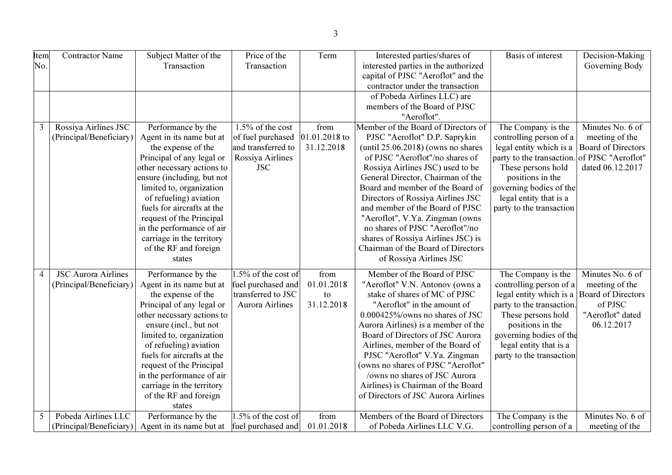| <b>Item</b>    | <b>Contractor Name</b>     | Subject Matter of the      | Price of the           | Term          | Interested parties/shares of          | <b>Basis of interest</b>  | Decision-Making           |
|----------------|----------------------------|----------------------------|------------------------|---------------|---------------------------------------|---------------------------|---------------------------|
| No.            |                            | Transaction                | Transaction            |               | interested parties in the authorized  |                           | Governing Body            |
|                |                            |                            |                        |               | capital of PJSC "Aeroflot" and the    |                           |                           |
|                |                            |                            |                        |               | contractor under the transaction      |                           |                           |
|                |                            |                            |                        |               | of Pobeda Airlines LLC) are           |                           |                           |
|                |                            |                            |                        |               | members of the Board of PJSC          |                           |                           |
|                |                            |                            |                        |               | "Aeroflot".                           |                           |                           |
| 3              | Rossiya Airlines JSC       | Performance by the         | 1.5% of the cost       | from          | Member of the Board of Directors of   | The Company is the        | Minutes No. 6 of          |
|                | (Principal/Beneficiary)    | Agent in its name but at   | of fuel purchased      | 01.01.2018 to | PJSC "Aeroflot" D.P. Saprykin         | controlling person of a   | meeting of the            |
|                |                            | the expense of the         | and transferred to     | 31.12.2018    | (until $25.06.2018$ ) (owns no shares | legal entity which is a   | Board of Directors        |
|                |                            | Principal of any legal or  | Rossiya Airlines       |               | of PJSC "Aeroflot"/no shares of       | party to the transaction. | of PJSC "Aeroflot"        |
|                |                            | other necessary actions to | <b>JSC</b>             |               | Rossiya Airlines JSC) used to be      | These persons hold        | dated 06.12.2017          |
|                |                            | ensure (including, but not |                        |               | General Director, Chairman of the     | positions in the          |                           |
|                |                            | limited to, organization   |                        |               | Board and member of the Board of      | governing bodies of the   |                           |
|                |                            | of refueling) aviation     |                        |               | Directors of Rossiya Airlines JSC     | legal entity that is a    |                           |
|                |                            | fuels for aircrafts at the |                        |               | and member of the Board of PJSC       | party to the transaction  |                           |
|                |                            | request of the Principal   |                        |               | "Aeroflot", V.Ya. Zingman (owns       |                           |                           |
|                |                            | in the performance of air  |                        |               | no shares of PJSC "Aeroflot"/no       |                           |                           |
|                |                            | carriage in the territory  |                        |               | shares of Rossiya Airlines JSC) is    |                           |                           |
|                |                            | of the RF and foreign      |                        |               | Chairman of the Board of Directors    |                           |                           |
|                |                            | states                     |                        |               | of Rossiya Airlines JSC               |                           |                           |
| $\overline{4}$ | <b>JSC Aurora Airlines</b> | Performance by the         | .5% of the cost of     | from          | Member of the Board of PJSC           | The Company is the        | Minutes No. 6 of          |
|                | (Principal/Beneficiary)    | Agent in its name but at   | fuel purchased and     | 01.01.2018    | "Aeroflot" V.N. Antonov (owns a       | controlling person of a   | meeting of the            |
|                |                            | the expense of the         | transferred to JSC     | to            | stake of shares of MC of PJSC         | legal entity which is a   | <b>Board of Directors</b> |
|                |                            | Principal of any legal or  | <b>Aurora Airlines</b> | 31.12.2018    | "Aeroflot" in the amount of           | party to the transaction. | of PJSC                   |
|                |                            | other necessary actions to |                        |               | 0.000425%/owns no shares of JSC       | These persons hold        | "Aeroflot" dated          |
|                |                            | ensure (incl., but not     |                        |               | Aurora Airlines) is a member of the   | positions in the          | 06.12.2017                |
|                |                            | limited to, organization   |                        |               | Board of Directors of JSC Aurora      | governing bodies of the   |                           |
|                |                            | of refueling) aviation     |                        |               | Airlines, member of the Board of      | legal entity that is a    |                           |
|                |                            | fuels for aircrafts at the |                        |               | PJSC "Aeroflot" V.Ya. Zingman         | party to the transaction  |                           |
|                |                            | request of the Principal   |                        |               | (owns no shares of PJSC "Aeroflot"    |                           |                           |
|                |                            | in the performance of air  |                        |               | /owns no shares of JSC Aurora         |                           |                           |
|                |                            | carriage in the territory  |                        |               | Airlines) is Chairman of the Board    |                           |                           |
|                |                            | of the RF and foreign      |                        |               | of Directors of JSC Aurora Airlines   |                           |                           |
|                |                            | states                     |                        |               |                                       |                           |                           |
| 5              | Pobeda Airlines LLC        | Performance by the         | .5% of the cost of     | from          | Members of the Board of Directors     | The Company is the        | Minutes No. 6 of          |
|                | (Principal/Beneficiary)    | Agent in its name but at   | fuel purchased and     | 01.01.2018    | of Pobeda Airlines LLC V.G.           | controlling person of a   | meeting of the            |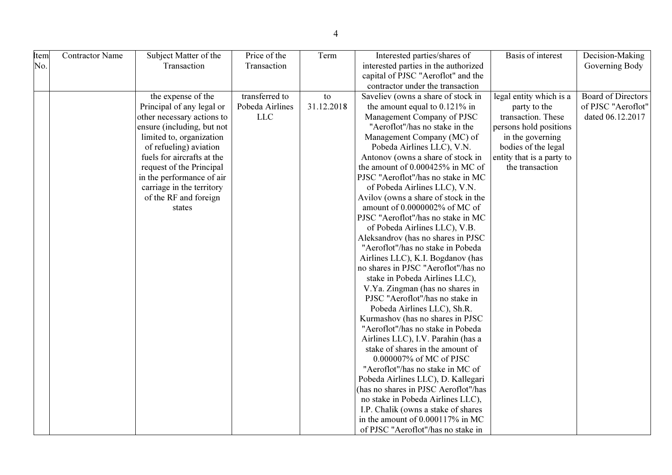| Item | <b>Contractor Name</b> | Subject Matter of the      | Price of the    | Term       | Interested parties/shares of         | Basis of interest         | Decision-Making           |
|------|------------------------|----------------------------|-----------------|------------|--------------------------------------|---------------------------|---------------------------|
| No.  |                        | Transaction                | Transaction     |            | interested parties in the authorized |                           | Governing Body            |
|      |                        |                            |                 |            | capital of PJSC "Aeroflot" and the   |                           |                           |
|      |                        |                            |                 |            | contractor under the transaction     |                           |                           |
|      |                        | the expense of the         | transferred to  | to         | Saveliev (owns a share of stock in   | legal entity which is a   | <b>Board of Directors</b> |
|      |                        | Principal of any legal or  | Pobeda Airlines | 31.12.2018 | the amount equal to $0.121\%$ in     | party to the              | of PJSC "Aeroflot"        |
|      |                        | other necessary actions to | <b>LLC</b>      |            | Management Company of PJSC           | transaction. These        | dated 06.12.2017          |
|      |                        | ensure (including, but not |                 |            | "Aeroflot"/has no stake in the       | persons hold positions    |                           |
|      |                        | limited to, organization   |                 |            | Management Company (MC) of           | in the governing          |                           |
|      |                        | of refueling) aviation     |                 |            | Pobeda Airlines LLC), V.N.           | bodies of the legal       |                           |
|      |                        | fuels for aircrafts at the |                 |            | Antonov (owns a share of stock in    | entity that is a party to |                           |
|      |                        | request of the Principal   |                 |            | the amount of 0.000425% in MC of     | the transaction           |                           |
|      |                        | in the performance of air  |                 |            | PJSC "Aeroflot"/has no stake in MC   |                           |                           |
|      |                        | carriage in the territory  |                 |            | of Pobeda Airlines LLC), V.N.        |                           |                           |
|      |                        | of the RF and foreign      |                 |            | Avilov (owns a share of stock in the |                           |                           |
|      |                        | states                     |                 |            | amount of 0.0000002% of MC of        |                           |                           |
|      |                        |                            |                 |            | PJSC "Aeroflot"/has no stake in MC   |                           |                           |
|      |                        |                            |                 |            | of Pobeda Airlines LLC), V.B.        |                           |                           |
|      |                        |                            |                 |            | Aleksandrov (has no shares in PJSC   |                           |                           |
|      |                        |                            |                 |            | "Aeroflot"/has no stake in Pobeda    |                           |                           |
|      |                        |                            |                 |            | Airlines LLC), K.I. Bogdanov (has    |                           |                           |
|      |                        |                            |                 |            | no shares in PJSC "Aeroflot"/has no  |                           |                           |
|      |                        |                            |                 |            | stake in Pobeda Airlines LLC),       |                           |                           |
|      |                        |                            |                 |            | V.Ya. Zingman (has no shares in      |                           |                           |
|      |                        |                            |                 |            | PJSC "Aeroflot"/has no stake in      |                           |                           |
|      |                        |                            |                 |            | Pobeda Airlines LLC), Sh.R.          |                           |                           |
|      |                        |                            |                 |            | Kurmashov (has no shares in PJSC     |                           |                           |
|      |                        |                            |                 |            | "Aeroflot"/has no stake in Pobeda    |                           |                           |
|      |                        |                            |                 |            | Airlines LLC), I.V. Parahin (has a   |                           |                           |
|      |                        |                            |                 |            | stake of shares in the amount of     |                           |                           |
|      |                        |                            |                 |            | 0.000007% of MC of PJSC              |                           |                           |
|      |                        |                            |                 |            | "Aeroflot"/has no stake in MC of     |                           |                           |
|      |                        |                            |                 |            | Pobeda Airlines LLC), D. Kallegari   |                           |                           |
|      |                        |                            |                 |            | (has no shares in PJSC Aeroflot"/has |                           |                           |
|      |                        |                            |                 |            | no stake in Pobeda Airlines LLC),    |                           |                           |
|      |                        |                            |                 |            | I.P. Chalik (owns a stake of shares  |                           |                           |
|      |                        |                            |                 |            | in the amount of 0.000117% in MC     |                           |                           |
|      |                        |                            |                 |            | of PJSC "Aeroflot"/has no stake in   |                           |                           |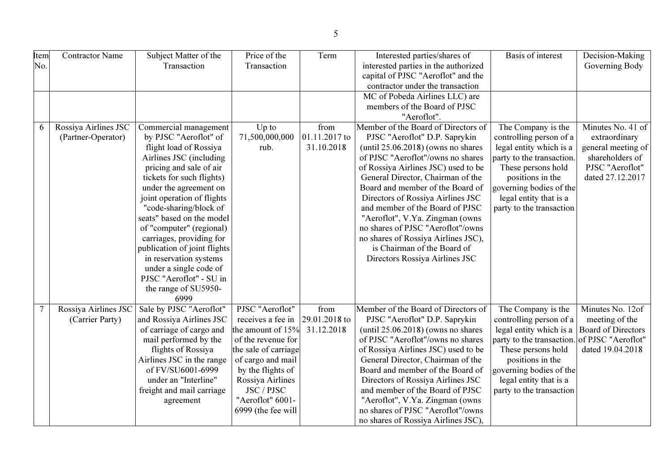| <b>Item</b>    | <b>Contractor Name</b> | Subject Matter of the        | Price of the         | Term          | Interested parties/shares of          | Basis of interest                            | Decision-Making           |
|----------------|------------------------|------------------------------|----------------------|---------------|---------------------------------------|----------------------------------------------|---------------------------|
| No.            |                        | Transaction                  | Transaction          |               | interested parties in the authorized  |                                              | Governing Body            |
|                |                        |                              |                      |               |                                       |                                              |                           |
|                |                        |                              |                      |               | capital of PJSC "Aeroflot" and the    |                                              |                           |
|                |                        |                              |                      |               | contractor under the transaction      |                                              |                           |
|                |                        |                              |                      |               | MC of Pobeda Airlines LLC) are        |                                              |                           |
|                |                        |                              |                      |               | members of the Board of PJSC          |                                              |                           |
|                |                        |                              |                      |               | "Aeroflot".                           |                                              |                           |
| 6              | Rossiya Airlines JSC   | Commercial management        | $Up$ to              | from          | Member of the Board of Directors of   | The Company is the                           | Minutes No. $41$ of       |
|                | (Partner-Operator)     | by PJSC "Aeroflot" of        | 71,500,000,000       | 01.11.2017 to | PJSC "Aeroflot" D.P. Saprykin         | controlling person of a                      | extraordinary             |
|                |                        | flight load of Rossiya       | rub.                 | 31.10.2018    | (until $25.06.2018$ ) (owns no shares | legal entity which is a                      | general meeting of        |
|                |                        | Airlines JSC (including      |                      |               | of PJSC "Aeroflot"/owns no shares     | party to the transaction.                    | shareholders of           |
|                |                        | pricing and sale of air      |                      |               | of Rossiya Airlines JSC) used to be   | These persons hold                           | PJSC "Aeroflot"           |
|                |                        | tickets for such flights)    |                      |               | General Director, Chairman of the     | positions in the                             | dated 27.12.2017          |
|                |                        | under the agreement on       |                      |               | Board and member of the Board of      | governing bodies of the                      |                           |
|                |                        | joint operation of flights   |                      |               | Directors of Rossiya Airlines JSC     | legal entity that is a                       |                           |
|                |                        | "code-sharing/block of       |                      |               | and member of the Board of PJSC       | party to the transaction                     |                           |
|                |                        | seats" based on the model    |                      |               | "Aeroflot", V.Ya. Zingman (owns       |                                              |                           |
|                |                        | of "computer" (regional)     |                      |               | no shares of PJSC "Aeroflot"/owns     |                                              |                           |
|                |                        | carriages, providing for     |                      |               | no shares of Rossiya Airlines JSC),   |                                              |                           |
|                |                        | publication of joint flights |                      |               | is Chairman of the Board of           |                                              |                           |
|                |                        | in reservation systems       |                      |               | Directors Rossiya Airlines JSC        |                                              |                           |
|                |                        | under a single code of       |                      |               |                                       |                                              |                           |
|                |                        | PJSC "Aeroflot" - SU in      |                      |               |                                       |                                              |                           |
|                |                        | the range of SU5950-         |                      |               |                                       |                                              |                           |
|                |                        | 6999                         |                      |               |                                       |                                              |                           |
| $\overline{7}$ | Rossiya Airlines JSC   | Sale by PJSC "Aeroflot"      | PJSC "Aeroflot"      | from          | Member of the Board of Directors of   | The Company is the                           | Minutes No. 12of          |
|                | (Carrier Party)        | and Rossiya Airlines JSC     | receives a fee in    | 29.01.2018 to | PJSC "Aeroflot" D.P. Saprykin         | controlling person of a                      | meeting of the            |
|                |                        | of carriage of cargo and     | the amount of 15%    | 31.12.2018    | (until $25.06.2018$ ) (owns no shares | legal entity which is a                      | <b>Board of Directors</b> |
|                |                        |                              | of the revenue for   |               | of PJSC "Aeroflot"/owns no shares     | party to the transaction. of PJSC "Aeroflot" |                           |
|                |                        | mail performed by the        |                      |               |                                       |                                              |                           |
|                |                        | flights of Rossiya           | the sale of carriage |               | of Rossiya Airlines JSC) used to be   | These persons hold                           | dated 19.04.2018          |
|                |                        | Airlines JSC in the range    | of cargo and mail    |               | General Director, Chairman of the     | positions in the                             |                           |
|                |                        | of FV/SU6001-6999            | by the flights of    |               | Board and member of the Board of      | governing bodies of the                      |                           |
|                |                        | under an "Interline"         | Rossiya Airlines     |               | Directors of Rossiya Airlines JSC     | legal entity that is a                       |                           |
|                |                        | freight and mail carriage    | JSC / PJSC           |               | and member of the Board of PJSC       | party to the transaction                     |                           |
|                |                        | agreement                    | "Aeroflot" 6001-     |               | "Aeroflot", V.Ya. Zingman (owns       |                                              |                           |
|                |                        |                              | 6999 (the fee will   |               | no shares of PJSC "Aeroflot"/owns     |                                              |                           |
|                |                        |                              |                      |               | no shares of Rossiya Airlines JSC),   |                                              |                           |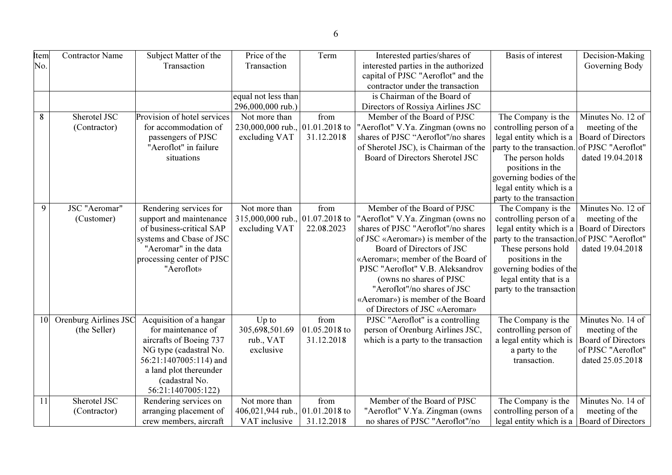| <b>Item</b> | <b>Contractor Name</b> | Subject Matter of the       | Price of the        | Term          | Interested parties/shares of         | Basis of interest         | Decision-Making           |
|-------------|------------------------|-----------------------------|---------------------|---------------|--------------------------------------|---------------------------|---------------------------|
|             |                        | Transaction                 | Transaction         |               |                                      |                           |                           |
| No.         |                        |                             |                     |               | interested parties in the authorized |                           | Governing Body            |
|             |                        |                             |                     |               | capital of PJSC "Aeroflot" and the   |                           |                           |
|             |                        |                             |                     |               | contractor under the transaction     |                           |                           |
|             |                        |                             | equal not less than |               | is Chairman of the Board of          |                           |                           |
|             |                        |                             | 296,000,000 rub.)   |               | Directors of Rossiya Airlines JSC    |                           |                           |
| 8           | Sherotel JSC           | Provision of hotel services | Not more than       | from          | Member of the Board of PJSC          | The Company is the        | Minutes No. 12 of         |
|             | (Contractor)           | for accommodation of        | 230,000,000 rub.,   | 01.01.2018 to | "Aeroflot" V.Ya. Zingman (owns no    | controlling person of a   | meeting of the            |
|             |                        | passengers of PJSC          | excluding VAT       | 31.12.2018    | shares of PJSC "Aeroflot"/no shares  | legal entity which is a   | <b>Board of Directors</b> |
|             |                        | "Aeroflot" in failure       |                     |               | of Sherotel JSC), is Chairman of the | party to the transaction. | of PJSC "Aeroflot"        |
|             |                        | situations                  |                     |               | Board of Directors Sherotel JSC      | The person holds          | dated 19.04.2018          |
|             |                        |                             |                     |               |                                      | positions in the          |                           |
|             |                        |                             |                     |               |                                      | governing bodies of the   |                           |
|             |                        |                             |                     |               |                                      | legal entity which is a   |                           |
|             |                        |                             |                     |               |                                      | party to the transaction  |                           |
| 9           | JSC "Aeromar"          | Rendering services for      | Not more than       | from          | Member of the Board of PJSC          | The Company is the        | Minutes No. 12 of         |
|             | (Customer)             | support and maintenance     | 315,000,000 rub.,   | 01.07.2018 to | "Aeroflot" V.Ya. Zingman (owns no    | controlling person of a   | meeting of the            |
|             |                        | of business-critical SAP    | excluding VAT       | 22.08.2023    | shares of PJSC "Aeroflot"/no shares  | legal entity which is a   | <b>Board of Directors</b> |
|             |                        | systems and Cbase of JSC    |                     |               | of JSC «Aeromar») is member of the   | party to the transaction. | of PJSC "Aeroflot"        |
|             |                        | "Aeromar" in the data       |                     |               | Board of Directors of JSC            | These persons hold        | dated 19.04.2018          |
|             |                        | processing center of PJSC   |                     |               | «Aeromar»; member of the Board of    | positions in the          |                           |
|             |                        | "Aeroflot»                  |                     |               | PJSC "Aeroflot" V.B. Aleksandrov     | governing bodies of the   |                           |
|             |                        |                             |                     |               | (owns no shares of PJSC              | legal entity that is a    |                           |
|             |                        |                             |                     |               | "Aeroflot"/no shares of JSC          | party to the transaction  |                           |
|             |                        |                             |                     |               | «Aeromar») is member of the Board    |                           |                           |
|             |                        |                             |                     |               | of Directors of JSC «Aeromar»        |                           |                           |
| 10          | Orenburg Airlines JSC  | Acquisition of a hangar     | Up to               | from          | PJSC "Aeroflot" is a controlling     | The Company is the        | Minutes No. 14 of         |
|             | (the Seller)           | for maintenance of          | 305,698,501.69      | 01.05.2018 to | person of Orenburg Airlines JSC,     | controlling person of     | meeting of the            |
|             |                        | aircrafts of Boeing 737     | rub., VAT           | 31.12.2018    | which is a party to the transaction  | a legal entity which is   | <b>Board of Directors</b> |
|             |                        | NG type (cadastral No.      | exclusive           |               |                                      | a party to the            | of PJSC "Aeroflot"        |
|             |                        | 56:21:1407005:114) and      |                     |               |                                      | transaction.              | dated 25.05.2018          |
|             |                        | a land plot thereunder      |                     |               |                                      |                           |                           |
|             |                        | (cadastral No.              |                     |               |                                      |                           |                           |
|             |                        | 56:21:1407005:122)          |                     |               |                                      |                           |                           |
| 11          | Sherotel JSC           | Rendering services on       | Not more than       | from          | Member of the Board of PJSC          | The Company is the        | Minutes No. 14 of         |
|             | (Contractor)           | arranging placement of      | 406,021,944 rub.,   | 01.01.2018 to | "Aeroflot" V.Ya. Zingman (owns       | controlling person of a   | meeting of the            |
|             |                        | crew members, aircraft      | VAT inclusive       | 31.12.2018    | no shares of PJSC "Aeroflot"/no      | legal entity which is a   | <b>Board of Directors</b> |
|             |                        |                             |                     |               |                                      |                           |                           |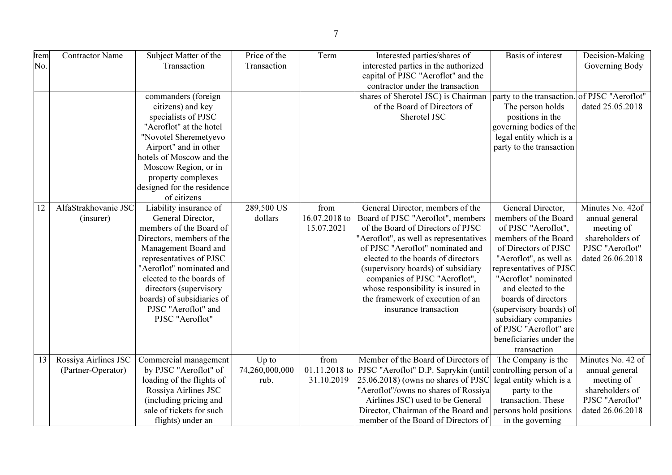| Item | <b>Contractor Name</b> | Subject Matter of the      | Price of the   | Term          | Interested parties/shares of                                               | Basis of interest                            | Decision-Making                |
|------|------------------------|----------------------------|----------------|---------------|----------------------------------------------------------------------------|----------------------------------------------|--------------------------------|
| No.  |                        | Transaction                | Transaction    |               | interested parties in the authorized                                       |                                              | Governing Body                 |
|      |                        |                            |                |               | capital of PJSC "Aeroflot" and the                                         |                                              |                                |
|      |                        |                            |                |               | contractor under the transaction                                           |                                              |                                |
|      |                        | commanders (foreign        |                |               | shares of Sherotel JSC) is Chairman                                        | party to the transaction. of PJSC "Aeroflot" |                                |
|      |                        | citizens) and key          |                |               | of the Board of Directors of                                               | The person holds                             | dated 25.05.2018               |
|      |                        | specialists of PJSC        |                |               | Sherotel JSC                                                               | positions in the                             |                                |
|      |                        | "Aeroflot" at the hotel    |                |               |                                                                            | governing bodies of the                      |                                |
|      |                        | "Novotel Sheremetyevo      |                |               |                                                                            | legal entity which is a                      |                                |
|      |                        | Airport" and in other      |                |               |                                                                            | party to the transaction                     |                                |
|      |                        | hotels of Moscow and the   |                |               |                                                                            |                                              |                                |
|      |                        | Moscow Region, or in       |                |               |                                                                            |                                              |                                |
|      |                        | property complexes         |                |               |                                                                            |                                              |                                |
|      |                        | designed for the residence |                |               |                                                                            |                                              |                                |
|      |                        | of citizens                |                |               |                                                                            |                                              |                                |
| 12   | AlfaStrakhovanie JSC   | Liability insurance of     | 289,500 US     | from          | General Director, members of the                                           | General Director,                            | Minutes No. 42of               |
|      | (insurer)              | General Director,          | dollars        | 16.07.2018 to | Board of PJSC "Aeroflot", members                                          | members of the Board                         | annual general                 |
|      |                        | members of the Board of    |                | 15.07.2021    | of the Board of Directors of PJSC                                          | of PJSC "Aeroflot",                          | meeting of                     |
|      |                        | Directors, members of the  |                |               | "Aeroflot", as well as representatives                                     | members of the Board                         | shareholders of                |
|      |                        | Management Board and       |                |               | of PJSC "Aeroflot" nominated and                                           | of Directors of PJSC                         | PJSC "Aeroflot"                |
|      |                        | representatives of PJSC    |                |               | elected to the boards of directors                                         | "Aeroflot", as well as                       | dated 26.06.2018               |
|      |                        | "Aeroflot" nominated and   |                |               | (supervisory boards) of subsidiary                                         | representatives of PJSC                      |                                |
|      |                        | elected to the boards of   |                |               | companies of PJSC "Aeroflot",                                              | "Aeroflot" nominated                         |                                |
|      |                        | directors (supervisory     |                |               | whose responsibility is insured in                                         | and elected to the                           |                                |
|      |                        | boards) of subsidiaries of |                |               | the framework of execution of an                                           | boards of directors                          |                                |
|      |                        | PJSC "Aeroflot" and        |                |               | insurance transaction                                                      | (supervisory boards) of                      |                                |
|      |                        | PJSC "Aeroflot"            |                |               |                                                                            | subsidiary companies                         |                                |
|      |                        |                            |                |               |                                                                            | of PJSC "Aeroflot" are                       |                                |
|      |                        |                            |                |               |                                                                            | beneficiaries under the                      |                                |
|      |                        |                            |                |               |                                                                            | transaction                                  |                                |
| 13   | Rossiya Airlines JSC   | Commercial management      | Up to          | from          | Member of the Board of Directors of                                        | The Company is the                           | Minutes $\overline{No. 42}$ of |
|      | (Partner-Operator)     | by PJSC "Aeroflot" of      | 74,260,000,000 |               | 01.11.2018 to PJSC "Aeroflot" D.P. Saprykin (until controlling person of a |                                              | annual general                 |
|      |                        | loading of the flights of  | rub.           | 31.10.2019    | 25.06.2018) (owns no shares of PJSC                                        | legal entity which is a                      | meeting of                     |
|      |                        | Rossiya Airlines JSC       |                |               | "Aeroflot"/owns no shares of Rossiya                                       | party to the                                 | shareholders of                |
|      |                        | (including pricing and     |                |               | Airlines JSC) used to be General                                           | transaction. These                           | PJSC "Aeroflot"                |
|      |                        | sale of tickets for such   |                |               | Director, Chairman of the Board and persons hold positions                 |                                              | dated 26.06.2018               |
|      |                        | flights) under an          |                |               | member of the Board of Directors of                                        | in the governing                             |                                |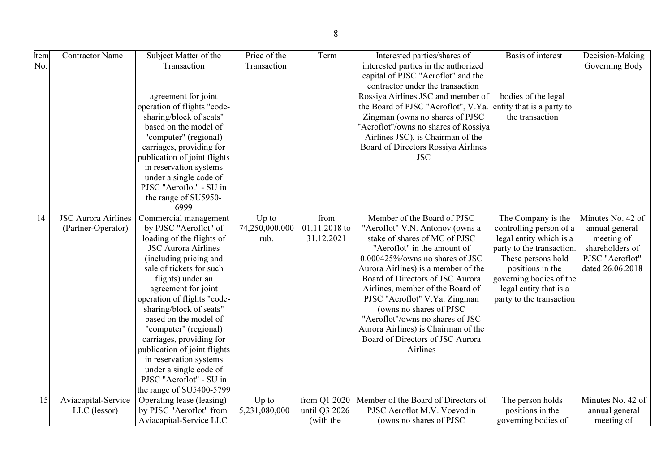| Item | <b>Contractor Name</b>     | Subject Matter of the        | Price of the   | Term          | Interested parties/shares of         | Basis of interest         | Decision-Making   |
|------|----------------------------|------------------------------|----------------|---------------|--------------------------------------|---------------------------|-------------------|
| No.  |                            | Transaction                  | Transaction    |               | interested parties in the authorized |                           | Governing Body    |
|      |                            |                              |                |               | capital of PJSC "Aeroflot" and the   |                           |                   |
|      |                            |                              |                |               | contractor under the transaction     |                           |                   |
|      |                            | agreement for joint          |                |               | Rossiya Airlines JSC and member of   | bodies of the legal       |                   |
|      |                            | operation of flights "code-  |                |               | the Board of PJSC "Aeroflot", V.Ya.  | entity that is a party to |                   |
|      |                            | sharing/block of seats"      |                |               | Zingman (owns no shares of PJSC      | the transaction           |                   |
|      |                            | based on the model of        |                |               | "Aeroflot"/owns no shares of Rossiya |                           |                   |
|      |                            | "computer" (regional)        |                |               | Airlines JSC), is Chairman of the    |                           |                   |
|      |                            | carriages, providing for     |                |               | Board of Directors Rossiya Airlines  |                           |                   |
|      |                            | publication of joint flights |                |               | <b>JSC</b>                           |                           |                   |
|      |                            | in reservation systems       |                |               |                                      |                           |                   |
|      |                            | under a single code of       |                |               |                                      |                           |                   |
|      |                            | PJSC "Aeroflot" - SU in      |                |               |                                      |                           |                   |
|      |                            | the range of SU5950-         |                |               |                                      |                           |                   |
|      |                            | 6999                         |                |               |                                      |                           |                   |
| 14   | <b>JSC Aurora Airlines</b> | Commercial management        | $Up$ to        | from          | Member of the Board of PJSC          | The Company is the        | Minutes No. 42 of |
|      | (Partner-Operator)         | by PJSC "Aeroflot" of        | 74,250,000,000 | 01.11.2018 to | "Aeroflot" V.N. Antonov (owns a      | controlling person of a   | annual general    |
|      |                            | loading of the flights of    | rub.           | 31.12.2021    | stake of shares of MC of PJSC        | legal entity which is a   | meeting of        |
|      |                            | <b>JSC Aurora Airlines</b>   |                |               | "Aeroflot" in the amount of          | party to the transaction. | shareholders of   |
|      |                            | (including pricing and       |                |               | 0.000425%/owns no shares of JSC      | These persons hold        | PJSC "Aeroflot"   |
|      |                            | sale of tickets for such     |                |               | Aurora Airlines) is a member of the  | positions in the          | dated 26.06.2018  |
|      |                            | flights) under an            |                |               | Board of Directors of JSC Aurora     | governing bodies of the   |                   |
|      |                            | agreement for joint          |                |               | Airlines, member of the Board of     | legal entity that is a    |                   |
|      |                            | operation of flights "code-  |                |               | PJSC "Aeroflot" V.Ya. Zingman        | party to the transaction  |                   |
|      |                            | sharing/block of seats"      |                |               | (owns no shares of PJSC              |                           |                   |
|      |                            | based on the model of        |                |               | "Aeroflot"/owns no shares of JSC     |                           |                   |
|      |                            | "computer" (regional)        |                |               | Aurora Airlines) is Chairman of the  |                           |                   |
|      |                            | carriages, providing for     |                |               | Board of Directors of JSC Aurora     |                           |                   |
|      |                            | publication of joint flights |                |               | Airlines                             |                           |                   |
|      |                            | in reservation systems       |                |               |                                      |                           |                   |
|      |                            | under a single code of       |                |               |                                      |                           |                   |
|      |                            | PJSC "Aeroflot" - SU in      |                |               |                                      |                           |                   |
|      |                            | the range of SU5400-5799     |                |               |                                      |                           |                   |
| 15   | Aviacapital-Service        | Operating lease (leasing)    | $Up$ to        | from Q1 2020  | Member of the Board of Directors of  | The person holds          | Minutes No. 42 of |
|      | LLC (lessor)               | by PJSC "Aeroflot" from      | 5,231,080,000  | until Q3 2026 | PJSC Aeroflot M.V. Voevodin          | positions in the          | annual general    |
|      |                            | Aviacapital-Service LLC      |                | (with the     | (owns no shares of PJSC              | governing bodies of       | meeting of        |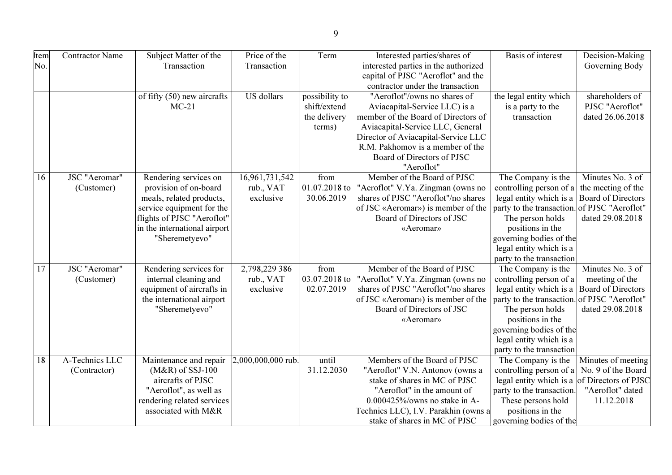| Item            | <b>Contractor Name</b> | Subject Matter of the                   | Price of the       | Term           | Interested parties/shares of                                     | Basis of interest                                                                                  | Decision-Making           |
|-----------------|------------------------|-----------------------------------------|--------------------|----------------|------------------------------------------------------------------|----------------------------------------------------------------------------------------------------|---------------------------|
| No.             |                        | Transaction                             | Transaction        |                | interested parties in the authorized                             |                                                                                                    | Governing Body            |
|                 |                        |                                         |                    |                | capital of PJSC "Aeroflot" and the                               |                                                                                                    |                           |
|                 |                        |                                         |                    |                | contractor under the transaction                                 |                                                                                                    |                           |
|                 |                        | of fifty (50) new aircrafts             | US dollars         | possibility to | "Aeroflot"/owns no shares of                                     | the legal entity which                                                                             | shareholders of           |
|                 |                        | $MC-21$                                 |                    | shift/extend   | Aviacapital-Service LLC) is a                                    | is a party to the                                                                                  | PJSC "Aeroflot"           |
|                 |                        |                                         |                    | the delivery   | member of the Board of Directors of                              | transaction                                                                                        | dated 26.06.2018          |
|                 |                        |                                         |                    | terms)         | Aviacapital-Service LLC, General                                 |                                                                                                    |                           |
|                 |                        |                                         |                    |                | Director of Aviacapital-Service LLC                              |                                                                                                    |                           |
|                 |                        |                                         |                    |                | R.M. Pakhomov is a member of the                                 |                                                                                                    |                           |
|                 |                        |                                         |                    |                | Board of Directors of PJSC                                       |                                                                                                    |                           |
|                 |                        |                                         |                    |                | "Aeroflot"                                                       |                                                                                                    |                           |
| 16              | JSC "Aeromar"          | Rendering services on                   | 16,961,731,542     | from           | Member of the Board of PJSC                                      | The Company is the                                                                                 | Minutes No. 3 of          |
|                 | (Customer)             | provision of on-board                   | rub., VAT          | 01.07.2018 to  | "Aeroflot" V.Ya. Zingman (owns no                                | controlling person of a the meeting of the                                                         |                           |
|                 |                        | meals, related products,                | exclusive          | 30.06.2019     | shares of PJSC "Aeroflot"/no shares                              | legal entity which is a                                                                            | <b>Board of Directors</b> |
|                 |                        | service equipment for the               |                    |                | of JSC «Aeromar») is member of the                               | party to the transaction. of PJSC "Aeroflot"                                                       |                           |
|                 |                        | flights of PJSC "Aeroflot"              |                    |                | Board of Directors of JSC                                        | The person holds                                                                                   | dated 29.08.2018          |
|                 |                        | in the international airport            |                    |                | «Aeromar»                                                        | positions in the                                                                                   |                           |
|                 |                        | "Sheremetyevo"                          |                    |                |                                                                  | governing bodies of the                                                                            |                           |
|                 |                        |                                         |                    |                |                                                                  | legal entity which is a                                                                            |                           |
|                 |                        |                                         |                    |                |                                                                  | party to the transaction                                                                           |                           |
| $\overline{17}$ | <b>JSC</b> "Aeromar"   | Rendering services for                  | 2,798,229 386      | from           | Member of the Board of PJSC                                      | The Company is the                                                                                 | Minutes No. 3 of          |
|                 | (Customer)             | internal cleaning and                   | rub., VAT          | 03.07.2018 to  | "Aeroflot" V.Ya. Zingman (owns no                                | controlling person of a                                                                            | meeting of the            |
|                 |                        | equipment of aircrafts in               | exclusive          | 02.07.2019     | shares of PJSC "Aeroflot"/no shares                              | legal entity which is a                                                                            | <b>Board of Directors</b> |
|                 |                        | the international airport               |                    |                | of JSC «Aeromar») is member of the                               | party to the transaction. of PJSC "Aeroflot"                                                       |                           |
|                 |                        | "Sheremetyevo"                          |                    |                | Board of Directors of JSC                                        | The person holds                                                                                   | dated 29.08.2018          |
|                 |                        |                                         |                    |                | «Aeromar»                                                        | positions in the                                                                                   |                           |
|                 |                        |                                         |                    |                |                                                                  | governing bodies of the                                                                            |                           |
|                 |                        |                                         |                    |                |                                                                  | legal entity which is a                                                                            |                           |
| 18              | A-Technics LLC         |                                         |                    | until          | Members of the Board of PJSC                                     | party to the transaction                                                                           |                           |
|                 |                        | Maintenance and repair                  | 2,000,000,000 rub. |                |                                                                  | The Company is the                                                                                 | Minutes of meeting        |
|                 | (Contractor)           | $(M&R)$ of SSJ-100<br>aircrafts of PJSC |                    | 31.12.2030     | "Aeroflot" V.N. Antonov (owns a<br>stake of shares in MC of PJSC | controlling person of a $\vert$ No. 9 of the Board<br>legal entity which is a of Directors of PJSC |                           |
|                 |                        | "Aeroflot", as well as                  |                    |                | "Aeroflot" in the amount of                                      | party to the transaction.                                                                          | "Aeroflot" dated          |
|                 |                        | rendering related services              |                    |                | $0.000425\%$ /owns no stake in A-                                | These persons hold                                                                                 | 11.12.2018                |
|                 |                        | associated with M&R                     |                    |                | Technics LLC), I.V. Parakhin (owns a                             | positions in the                                                                                   |                           |
|                 |                        |                                         |                    |                | stake of shares in MC of PJSC                                    |                                                                                                    |                           |
|                 |                        |                                         |                    |                |                                                                  | governing bodies of the                                                                            |                           |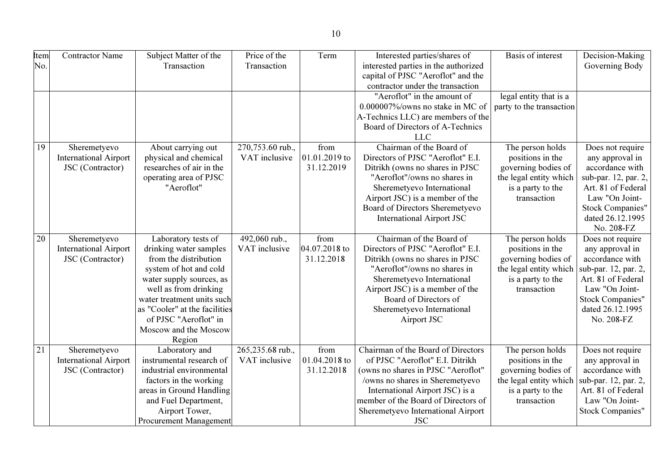| ٦<br>×<br>×<br>۰, |
|-------------------|

| Item<br>No. | <b>Contractor Name</b>       | Subject Matter of the<br>Transaction            | Price of the<br>Transaction | Term          | Interested parties/shares of<br>interested parties in the authorized   | <b>Basis of interest</b> | Decision-Making<br>Governing Body           |
|-------------|------------------------------|-------------------------------------------------|-----------------------------|---------------|------------------------------------------------------------------------|--------------------------|---------------------------------------------|
|             |                              |                                                 |                             |               | capital of PJSC "Aeroflot" and the                                     |                          |                                             |
|             |                              |                                                 |                             |               | contractor under the transaction                                       |                          |                                             |
|             |                              |                                                 |                             |               | "Aeroflot" in the amount of                                            | legal entity that is a   |                                             |
|             |                              |                                                 |                             |               | 0.000007%/owns no stake in MC of                                       | party to the transaction |                                             |
|             |                              |                                                 |                             |               | A-Technics LLC) are members of the                                     |                          |                                             |
|             |                              |                                                 |                             |               | Board of Directors of A-Technics                                       |                          |                                             |
|             |                              |                                                 |                             |               | <b>LLC</b>                                                             |                          |                                             |
| 19          | Sheremetyevo                 | About carrying out                              | 270,753.60 rub.,            | from          | Chairman of the Board of                                               | The person holds         | Does not require                            |
|             | <b>International Airport</b> | physical and chemical                           | VAT inclusive               | 01.01.2019 to | Directors of PJSC "Aeroflot" E.I.                                      | positions in the         | any approval in                             |
|             | JSC (Contractor)             | researches of air in the                        |                             | 31.12.2019    | Ditrikh (owns no shares in PJSC                                        | governing bodies of      | accordance with                             |
|             |                              | operating area of PJSC                          |                             |               | "Aeroflot"/owns no shares in                                           | the legal entity which   | sub-par. 12, par. 2,                        |
|             |                              | "Aeroflot"                                      |                             |               | Sheremetyevo International                                             | is a party to the        | Art. 81 of Federal                          |
|             |                              |                                                 |                             |               | Airport JSC) is a member of the                                        | transaction              | Law "On Joint-                              |
|             |                              |                                                 |                             |               | Board of Directors Sheremetyevo<br><b>International Airport JSC</b>    |                          | <b>Stock Companies"</b><br>dated 26.12.1995 |
|             |                              |                                                 |                             |               |                                                                        |                          | No. 208-FZ                                  |
| 20          | Sheremetyevo                 | Laboratory tests of                             | 492,060 rub.,               | from          | Chairman of the Board of                                               | The person holds         | Does not require                            |
|             | <b>International Airport</b> | drinking water samples                          | VAT inclusive               | 04.07.2018 to | Directors of PJSC "Aeroflot" E.I.                                      | positions in the         | any approval in                             |
|             | JSC (Contractor)             | from the distribution                           |                             | 31.12.2018    | Ditrikh (owns no shares in PJSC                                        | governing bodies of      | accordance with                             |
|             |                              | system of hot and cold                          |                             |               | "Aeroflot"/owns no shares in                                           | the legal entity which   | sub-par. 12, par. 2,                        |
|             |                              | water supply sources, as                        |                             |               | Sheremetyevo International                                             | is a party to the        | Art. 81 of Federal                          |
|             |                              | well as from drinking                           |                             |               | Airport JSC) is a member of the                                        | transaction              | Law "On Joint-                              |
|             |                              | water treatment units such                      |                             |               | Board of Directors of                                                  |                          | <b>Stock Companies"</b>                     |
|             |                              | as "Cooler" at the facilities                   |                             |               | Sheremetyevo International                                             |                          | dated 26.12.1995                            |
|             |                              | of PJSC "Aeroflot" in                           |                             |               | Airport JSC                                                            |                          | No. 208-FZ                                  |
|             |                              | Moscow and the Moscow                           |                             |               |                                                                        |                          |                                             |
|             |                              | Region                                          |                             |               |                                                                        |                          |                                             |
| 21          | Sheremetyevo                 | Laboratory and                                  | 265,235.68 rub.,            | from          | Chairman of the Board of Directors                                     | The person holds         | Does not require                            |
|             | <b>International Airport</b> | instrumental research of                        | VAT inclusive               | 01.04.2018 to | of PJSC "Aeroflot" E.I. Ditrikh                                        | positions in the         | any approval in                             |
|             | JSC (Contractor)             | industrial environmental                        |                             | 31.12.2018    | (owns no shares in PJSC "Aeroflot"                                     | governing bodies of      | accordance with                             |
|             |                              | factors in the working                          |                             |               | /owns no shares in Sheremetyevo                                        | the legal entity which   | sub-par. 12, par. 2,                        |
|             |                              | areas in Ground Handling                        |                             |               | International Airport JSC) is a<br>member of the Board of Directors of | is a party to the        | Art. 81 of Federal                          |
|             |                              | and Fuel Department,                            |                             |               |                                                                        | transaction              | Law "On Joint-                              |
|             |                              | Airport Tower,<br><b>Procurement Management</b> |                             |               | Sheremetyevo International Airport                                     |                          | <b>Stock Companies"</b>                     |
|             |                              |                                                 |                             |               | <b>JSC</b>                                                             |                          |                                             |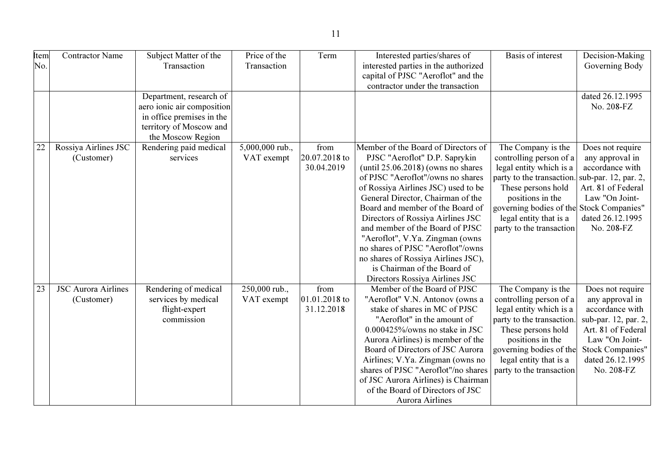| Item            | <b>Contractor Name</b>     | Subject Matter of the      | Price of the    | Term          | Interested parties/shares of          | Basis of interest                        | Decision-Making         |
|-----------------|----------------------------|----------------------------|-----------------|---------------|---------------------------------------|------------------------------------------|-------------------------|
| No.             |                            | Transaction                | Transaction     |               | interested parties in the authorized  |                                          | Governing Body          |
|                 |                            |                            |                 |               | capital of PJSC "Aeroflot" and the    |                                          |                         |
|                 |                            |                            |                 |               | contractor under the transaction      |                                          |                         |
|                 |                            | Department, research of    |                 |               |                                       |                                          | dated 26.12.1995        |
|                 |                            | aero ionic air composition |                 |               |                                       |                                          | No. 208-FZ              |
|                 |                            | in office premises in the  |                 |               |                                       |                                          |                         |
|                 |                            | territory of Moscow and    |                 |               |                                       |                                          |                         |
|                 |                            | the Moscow Region          |                 |               |                                       |                                          |                         |
| 22              | Rossiya Airlines JSC       | Rendering paid medical     | 5,000,000 rub., | from          | Member of the Board of Directors of   | The Company is the                       | Does not require        |
|                 | (Customer)                 | services                   | VAT exempt      | 20.07.2018 to | PJSC "Aeroflot" D.P. Saprykin         | controlling person of a                  | any approval in         |
|                 |                            |                            |                 | 30.04.2019    | (until $25.06.2018$ ) (owns no shares | legal entity which is a                  | accordance with         |
|                 |                            |                            |                 |               | of PJSC "Aeroflot"/owns no shares     | party to the transaction.                | sub-par. 12, par. 2,    |
|                 |                            |                            |                 |               | of Rossiya Airlines JSC) used to be   | These persons hold                       | Art. 81 of Federal      |
|                 |                            |                            |                 |               | General Director, Chairman of the     | positions in the                         | Law "On Joint-          |
|                 |                            |                            |                 |               | Board and member of the Board of      | governing bodies of the Stock Companies" |                         |
|                 |                            |                            |                 |               | Directors of Rossiya Airlines JSC     | legal entity that is a                   | dated 26.12.1995        |
|                 |                            |                            |                 |               | and member of the Board of PJSC       | party to the transaction                 | No. 208-FZ              |
|                 |                            |                            |                 |               | "Aeroflot", V.Ya. Zingman (owns       |                                          |                         |
|                 |                            |                            |                 |               | no shares of PJSC "Aeroflot"/owns     |                                          |                         |
|                 |                            |                            |                 |               | no shares of Rossiya Airlines JSC),   |                                          |                         |
|                 |                            |                            |                 |               | is Chairman of the Board of           |                                          |                         |
|                 |                            |                            |                 |               | Directors Rossiya Airlines JSC        |                                          |                         |
| $\overline{23}$ | <b>JSC Aurora Airlines</b> | Rendering of medical       | 250,000 rub.,   | from          | Member of the Board of PJSC           | The Company is the                       | Does not require        |
|                 | (Customer)                 | services by medical        | VAT exempt      | 01.01.2018 to | "Aeroflot" V.N. Antonov (owns a       | controlling person of a                  | any approval in         |
|                 |                            | flight-expert              |                 | 31.12.2018    | stake of shares in MC of PJSC         | legal entity which is a                  | accordance with         |
|                 |                            | commission                 |                 |               | "Aeroflot" in the amount of           | party to the transaction.                | sub-par. 12, par. 2,    |
|                 |                            |                            |                 |               | 0.000425%/owns no stake in JSC        | These persons hold                       | Art. 81 of Federal      |
|                 |                            |                            |                 |               | Aurora Airlines) is member of the     | positions in the                         | Law "On Joint-          |
|                 |                            |                            |                 |               | Board of Directors of JSC Aurora      | governing bodies of the                  | <b>Stock Companies"</b> |
|                 |                            |                            |                 |               | Airlines; V.Ya. Zingman (owns no      | legal entity that is a                   | dated 26.12.1995        |
|                 |                            |                            |                 |               | shares of PJSC "Aeroflot"/no shares   | party to the transaction                 | No. 208-FZ              |
|                 |                            |                            |                 |               | of JSC Aurora Airlines) is Chairman   |                                          |                         |
|                 |                            |                            |                 |               | of the Board of Directors of JSC      |                                          |                         |
|                 |                            |                            |                 |               | Aurora Airlines                       |                                          |                         |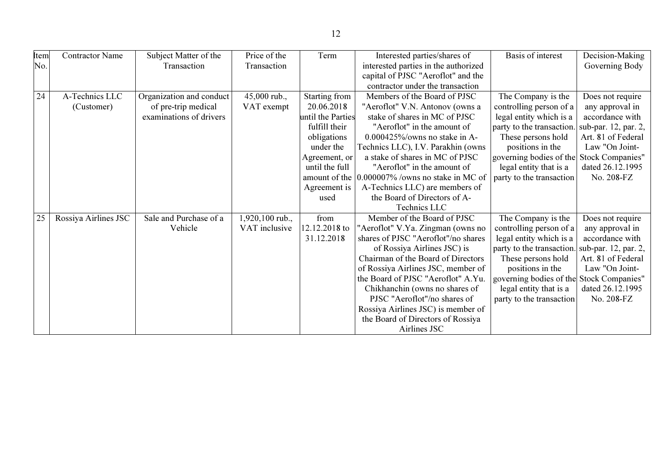| Item | <b>Contractor Name</b> | Subject Matter of the    | Price of the    | Term              | Interested parties/shares of                    | Basis of interest                        | Decision-Making      |
|------|------------------------|--------------------------|-----------------|-------------------|-------------------------------------------------|------------------------------------------|----------------------|
| No.  |                        | Transaction              | Transaction     |                   | interested parties in the authorized            |                                          | Governing Body       |
|      |                        |                          |                 |                   | capital of PJSC "Aeroflot" and the              |                                          |                      |
|      |                        |                          |                 |                   | contractor under the transaction                |                                          |                      |
| 24   | A-Technics LLC         | Organization and conduct | 45,000 rub.,    | Starting from     | Members of the Board of PJSC                    | The Company is the                       | Does not require     |
|      | (Customer)             | of pre-trip medical      | VAT exempt      | 20.06.2018        | "Aeroflot" V.N. Antonov (owns a                 | controlling person of a                  | any approval in      |
|      |                        | examinations of drivers  |                 | until the Parties | stake of shares in MC of PJSC                   | legal entity which is a                  | accordance with      |
|      |                        |                          |                 | fulfill their     | "Aeroflot" in the amount of                     | party to the transaction.                | sub-par. 12, par. 2, |
|      |                        |                          |                 | obligations       | $0.000425\%$ /owns no stake in A-               | These persons hold                       | Art. 81 of Federal   |
|      |                        |                          |                 | under the         | Technics LLC), I.V. Parakhin (owns              | positions in the                         | Law "On Joint-       |
|      |                        |                          |                 | Agreement, or     | a stake of shares in MC of PJSC                 | governing bodies of the Stock Companies" |                      |
|      |                        |                          |                 | until the full    | "Aeroflot" in the amount of                     | legal entity that is a                   | dated 26.12.1995     |
|      |                        |                          |                 |                   | amount of the 0.000007% /owns no stake in MC of | party to the transaction                 | No. 208-FZ           |
|      |                        |                          |                 | Agreement is      | A-Technics LLC) are members of                  |                                          |                      |
|      |                        |                          |                 | used              | the Board of Directors of A-                    |                                          |                      |
|      |                        |                          |                 |                   | Technics LLC                                    |                                          |                      |
| 25   | Rossiya Airlines JSC   | Sale and Purchase of a   | 1,920,100 rub., | from              | Member of the Board of PJSC                     | The Company is the                       | Does not require     |
|      |                        | Vehicle                  | VAT inclusive   | 12.12.2018 to     | "Aeroflot" V.Ya. Zingman (owns no               | controlling person of a                  | any approval in      |
|      |                        |                          |                 | 31.12.2018        | shares of PJSC "Aeroflot"/no shares             | legal entity which is a                  | accordance with      |
|      |                        |                          |                 |                   | of Rossiya Airlines JSC) is                     | party to the transaction.                | sub-par. 12, par. 2, |
|      |                        |                          |                 |                   | Chairman of the Board of Directors              | These persons hold                       | Art. 81 of Federal   |
|      |                        |                          |                 |                   | of Rossiya Airlines JSC, member of              | positions in the                         | Law "On Joint-       |
|      |                        |                          |                 |                   | the Board of PJSC "Aeroflot" A.Yu.              | governing bodies of the Stock Companies" |                      |
|      |                        |                          |                 |                   | Chikhanchin (owns no shares of                  | legal entity that is a                   | dated 26.12.1995     |
|      |                        |                          |                 |                   | PJSC "Aeroflot"/no shares of                    | party to the transaction                 | No. 208-FZ           |
|      |                        |                          |                 |                   | Rossiya Airlines JSC) is member of              |                                          |                      |
|      |                        |                          |                 |                   | the Board of Directors of Rossiya               |                                          |                      |
|      |                        |                          |                 |                   | Airlines JSC                                    |                                          |                      |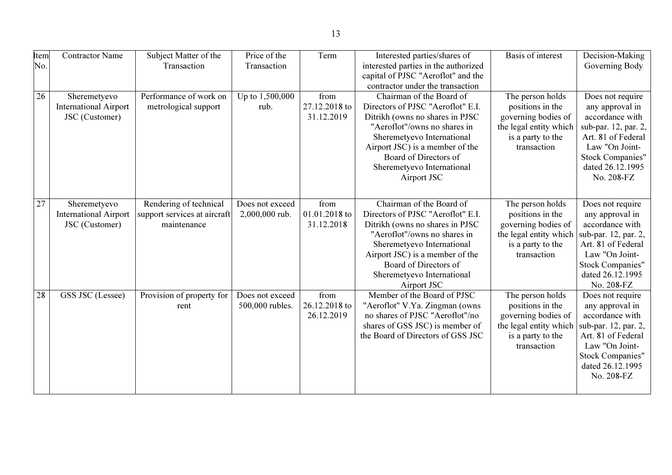| Item<br>No. | <b>Contractor Name</b>                                         | Subject Matter of the<br>Transaction                                  | Price of the<br>Transaction        | Term                                | Interested parties/shares of<br>interested parties in the authorized<br>capital of PJSC "Aeroflot" and the                                                                                                                                                              | <b>Basis of interest</b>                                                                                                  | Decision-Making<br>Governing Body                                                                                                                                                   |
|-------------|----------------------------------------------------------------|-----------------------------------------------------------------------|------------------------------------|-------------------------------------|-------------------------------------------------------------------------------------------------------------------------------------------------------------------------------------------------------------------------------------------------------------------------|---------------------------------------------------------------------------------------------------------------------------|-------------------------------------------------------------------------------------------------------------------------------------------------------------------------------------|
|             |                                                                |                                                                       |                                    |                                     | contractor under the transaction                                                                                                                                                                                                                                        |                                                                                                                           |                                                                                                                                                                                     |
| 26          | Sheremetyevo<br><b>International Airport</b><br>JSC (Customer) | Performance of work on<br>metrological support                        | Up to 1,500,000<br>rub.            | from<br>27.12.2018 to<br>31.12.2019 | Chairman of the Board of<br>Directors of PJSC "Aeroflot" E.I.<br>Ditrikh (owns no shares in PJSC<br>"Aeroflot"/owns no shares in<br>Sheremetyevo International<br>Airport JSC) is a member of the<br>Board of Directors of<br>Sheremetyevo International<br>Airport JSC | The person holds<br>positions in the<br>governing bodies of<br>the legal entity which<br>is a party to the<br>transaction | Does not require<br>any approval in<br>accordance with<br>sub-par. 12, par. 2,<br>Art. 81 of Federal<br>Law "On Joint-<br>Stock Companies"<br>dated 26.12.1995<br>No. 208-FZ        |
| 27          | Sheremetyevo<br><b>International Airport</b><br>JSC (Customer) | Rendering of technical<br>support services at aircraft<br>maintenance | Does not exceed<br>2,000,000 rub.  | from<br>01.01.2018 to<br>31.12.2018 | Chairman of the Board of<br>Directors of PJSC "Aeroflot" E.I.<br>Ditrikh (owns no shares in PJSC<br>"Aeroflot"/owns no shares in<br>Sheremetyevo International<br>Airport JSC) is a member of the<br>Board of Directors of<br>Sheremetyevo International<br>Airport JSC | The person holds<br>positions in the<br>governing bodies of<br>the legal entity which<br>is a party to the<br>transaction | Does not require<br>any approval in<br>accordance with<br>sub-par. 12, par. 2,<br>Art. 81 of Federal<br>Law "On Joint-<br><b>Stock Companies"</b><br>dated 26.12.1995<br>No. 208-FZ |
| 28          | GSS JSC (Lessee)                                               | Provision of property for<br>rent                                     | Does not exceed<br>500,000 rubles. | from<br>26.12.2018 to<br>26.12.2019 | Member of the Board of PJSC<br>"Aeroflot" V.Ya. Zingman (owns<br>no shares of PJSC "Aeroflot"/no<br>shares of GSS JSC) is member of<br>the Board of Directors of GSS JSC                                                                                                | The person holds<br>positions in the<br>governing bodies of<br>the legal entity which<br>is a party to the<br>transaction | Does not require<br>any approval in<br>accordance with<br>sub-par. 12, par. 2,<br>Art. 81 of Federal<br>Law "On Joint-<br><b>Stock Companies"</b><br>dated 26.12.1995<br>No. 208-FZ |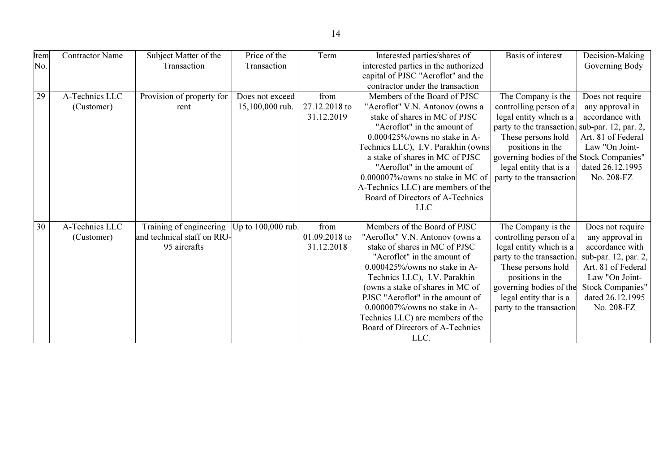| Item | <b>Contractor Name</b> | Subject Matter of the       | Price of the       | Term          | Interested parties/shares of         | Basis of interest                        | Decision-Making         |
|------|------------------------|-----------------------------|--------------------|---------------|--------------------------------------|------------------------------------------|-------------------------|
| No.  |                        | Transaction                 | Transaction        |               | interested parties in the authorized |                                          | Governing Body          |
|      |                        |                             |                    |               | capital of PJSC "Aeroflot" and the   |                                          |                         |
|      |                        |                             |                    |               | contractor under the transaction     |                                          |                         |
| 29   | A-Technics LLC         | Provision of property for   | Does not exceed    | from          | Members of the Board of PJSC         | The Company is the                       | Does not require        |
|      | (Customer)             | rent                        | 15,100,000 rub.    | 27.12.2018 to | "Aeroflot" V.N. Antonov (owns a      | controlling person of a                  | any approval in         |
|      |                        |                             |                    | 31.12.2019    | stake of shares in MC of PJSC        | legal entity which is a                  | accordance with         |
|      |                        |                             |                    |               | "Aeroflot" in the amount of          | party to the transaction.                | sub-par. 12, par. 2,    |
|      |                        |                             |                    |               | $0.000425\%$ /owns no stake in A-    | These persons hold                       | Art. 81 of Federal      |
|      |                        |                             |                    |               | Technics LLC), I.V. Parakhin (owns)  | positions in the                         | Law "On Joint-          |
|      |                        |                             |                    |               | a stake of shares in MC of PJSC      | governing bodies of the Stock Companies" |                         |
|      |                        |                             |                    |               | "Aeroflot" in the amount of          | legal entity that is a                   | dated 26.12.1995        |
|      |                        |                             |                    |               | $0.000007\%$ /owns no stake in MC of | party to the transaction                 | No. 208-FZ              |
|      |                        |                             |                    |               | A-Technics LLC) are members of the   |                                          |                         |
|      |                        |                             |                    |               | Board of Directors of A-Technics     |                                          |                         |
|      |                        |                             |                    |               | <b>LLC</b>                           |                                          |                         |
|      |                        |                             |                    |               |                                      |                                          |                         |
| 30   | A-Technics LLC         | Training of engineering     | Up to 100,000 rub. | from          | Members of the Board of PJSC         | The Company is the                       | Does not require        |
|      | (Customer)             | and technical staff on RRJ- |                    | 01.09.2018 to | "Aeroflot" V.N. Antonov (owns a      | controlling person of a                  | any approval in         |
|      |                        | 95 aircrafts                |                    | 31.12.2018    | stake of shares in MC of PJSC        | legal entity which is a                  | accordance with         |
|      |                        |                             |                    |               | "Aeroflot" in the amount of          | party to the transaction.                | sub-par. 12, par. 2,    |
|      |                        |                             |                    |               | $0.000425\%$ /owns no stake in A-    | These persons hold                       | Art. 81 of Federal      |
|      |                        |                             |                    |               | Technics LLC), I.V. Parakhin         | positions in the                         | Law "On Joint-          |
|      |                        |                             |                    |               | (owns a stake of shares in MC of     | governing bodies of the                  | <b>Stock Companies"</b> |
|      |                        |                             |                    |               | PJSC "Aeroflot" in the amount of     | legal entity that is a                   | dated 26.12.1995        |
|      |                        |                             |                    |               | $0.000007\%$ /owns no stake in A-    | party to the transaction                 | No. 208-FZ              |
|      |                        |                             |                    |               | Technics LLC) are members of the     |                                          |                         |
|      |                        |                             |                    |               | Board of Directors of A-Technics     |                                          |                         |
|      |                        |                             |                    |               | LLC.                                 |                                          |                         |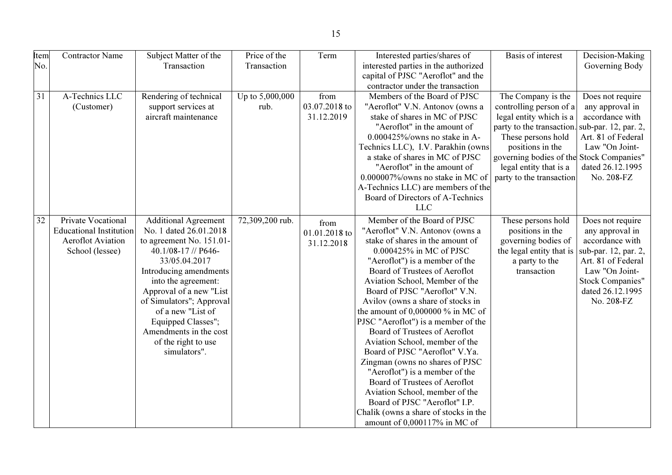| Item            | <b>Contractor Name</b>         | Subject Matter of the       | Price of the    | Term          | Interested parties/shares of          | <b>Basis of interest</b>                 | Decision-Making         |
|-----------------|--------------------------------|-----------------------------|-----------------|---------------|---------------------------------------|------------------------------------------|-------------------------|
| No.             |                                | Transaction                 | Transaction     |               | interested parties in the authorized  |                                          | Governing Body          |
|                 |                                |                             |                 |               | capital of PJSC "Aeroflot" and the    |                                          |                         |
|                 |                                |                             |                 |               | contractor under the transaction      |                                          |                         |
| $\overline{31}$ | A-Technics LLC                 | Rendering of technical      | Up to 5,000,000 | from          | Members of the Board of PJSC          | The Company is the                       | Does not require        |
|                 | (Customer)                     | support services at         | rub.            | 03.07.2018 to | "Aeroflot" V.N. Antonov (owns a       | controlling person of a                  | any approval in         |
|                 |                                | aircraft maintenance        |                 | 31.12.2019    | stake of shares in MC of PJSC         | legal entity which is a                  | accordance with         |
|                 |                                |                             |                 |               | "Aeroflot" in the amount of           | party to the transaction.                | sub-par. 12, par. 2,    |
|                 |                                |                             |                 |               | $0.000425\%$ /owns no stake in A-     | These persons hold                       | Art. 81 of Federal      |
|                 |                                |                             |                 |               | Technics LLC), I.V. Parakhin (owns)   | positions in the                         | Law "On Joint-          |
|                 |                                |                             |                 |               | a stake of shares in MC of PJSC       | governing bodies of the Stock Companies" |                         |
|                 |                                |                             |                 |               | "Aeroflot" in the amount of           | legal entity that is a                   | dated 26.12.1995        |
|                 |                                |                             |                 |               | 0.000007%/owns no stake in MC of      | party to the transaction                 | No. 208-FZ              |
|                 |                                |                             |                 |               | A-Technics LLC) are members of the    |                                          |                         |
|                 |                                |                             |                 |               | Board of Directors of A-Technics      |                                          |                         |
|                 |                                |                             |                 |               | <b>LLC</b>                            |                                          |                         |
| $\overline{32}$ | Private Vocational             | <b>Additional Agreement</b> | 72,309,200 rub. | from          | Member of the Board of PJSC           | These persons hold                       | Does not require        |
|                 | <b>Educational Institution</b> | No. 1 dated 26.01.2018      |                 | 01.01.2018 to | "Aeroflot" V.N. Antonov (owns a       | positions in the                         | any approval in         |
|                 | <b>Aeroflot Aviation</b>       | to agreement No. 151.01-    |                 | 31.12.2018    | stake of shares in the amount of      | governing bodies of                      | accordance with         |
|                 | School (lessee)                | 40.1/08-17 // P646-         |                 |               | 0.000425% in MC of PJSC               | the legal entity that is                 | sub-par. 12, par. 2,    |
|                 |                                | 33/05.04.2017               |                 |               | "Aeroflot") is a member of the        | a party to the                           | Art. 81 of Federal      |
|                 |                                | Introducing amendments      |                 |               | Board of Trustees of Aeroflot         | transaction                              | Law "On Joint-          |
|                 |                                | into the agreement:         |                 |               | Aviation School, Member of the        |                                          | <b>Stock Companies"</b> |
|                 |                                | Approval of a new "List     |                 |               | Board of PJSC "Aeroflot" V.N.         |                                          | dated 26.12.1995        |
|                 |                                | of Simulators"; Approval    |                 |               | Avilov (owns a share of stocks in     |                                          | No. 208-FZ              |
|                 |                                | of a new "List of           |                 |               | the amount of $0,000000\%$ in MC of   |                                          |                         |
|                 |                                | Equipped Classes";          |                 |               | PJSC "Aeroflot") is a member of the   |                                          |                         |
|                 |                                | Amendments in the cost      |                 |               | Board of Trustees of Aeroflot         |                                          |                         |
|                 |                                | of the right to use         |                 |               | Aviation School, member of the        |                                          |                         |
|                 |                                | simulators".                |                 |               | Board of PJSC "Aeroflot" V.Ya.        |                                          |                         |
|                 |                                |                             |                 |               | Zingman (owns no shares of PJSC       |                                          |                         |
|                 |                                |                             |                 |               | "Aeroflot") is a member of the        |                                          |                         |
|                 |                                |                             |                 |               | Board of Trustees of Aeroflot         |                                          |                         |
|                 |                                |                             |                 |               | Aviation School, member of the        |                                          |                         |
|                 |                                |                             |                 |               | Board of PJSC "Aeroflot" I.P.         |                                          |                         |
|                 |                                |                             |                 |               | Chalik (owns a share of stocks in the |                                          |                         |
|                 |                                |                             |                 |               | amount of 0,000117% in MC of          |                                          |                         |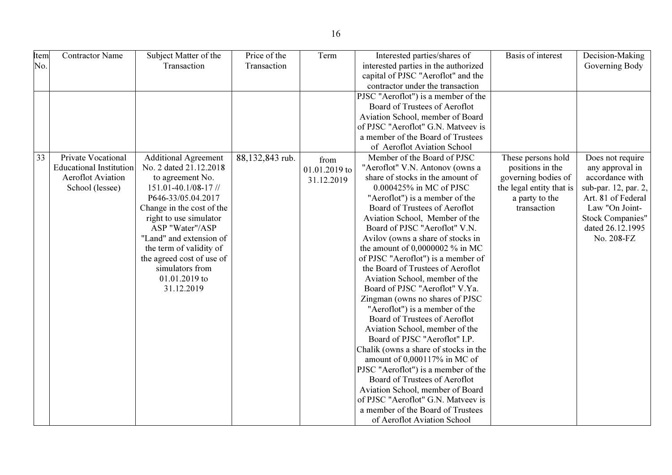| Item | <b>Contractor Name</b>         | Subject Matter of the       | Price of the    | Term          | Interested parties/shares of          | Basis of interest        | Decision-Making         |
|------|--------------------------------|-----------------------------|-----------------|---------------|---------------------------------------|--------------------------|-------------------------|
| No.  |                                | Transaction                 | Transaction     |               | interested parties in the authorized  |                          | Governing Body          |
|      |                                |                             |                 |               | capital of PJSC "Aeroflot" and the    |                          |                         |
|      |                                |                             |                 |               | contractor under the transaction      |                          |                         |
|      |                                |                             |                 |               | PJSC "Aeroflot") is a member of the   |                          |                         |
|      |                                |                             |                 |               | Board of Trustees of Aeroflot         |                          |                         |
|      |                                |                             |                 |               | Aviation School, member of Board      |                          |                         |
|      |                                |                             |                 |               | of PJSC "Aeroflot" G.N. Matveev is    |                          |                         |
|      |                                |                             |                 |               | a member of the Board of Trustees     |                          |                         |
|      |                                |                             |                 |               | of Aeroflot Aviation School           |                          |                         |
| 33   | Private Vocational             | <b>Additional Agreement</b> | 88,132,843 rub. | from          | Member of the Board of PJSC           | These persons hold       | Does not require        |
|      | <b>Educational Institution</b> | No. 2 dated 21.12.2018      |                 | 01.01.2019 to | "Aeroflot" V.N. Antonov (owns a       | positions in the         | any approval in         |
|      | <b>Aeroflot Aviation</b>       | to agreement No.            |                 | 31.12.2019    | share of stocks in the amount of      | governing bodies of      | accordance with         |
|      | School (lessee)                | 151.01-40.1/08-17 //        |                 |               | 0.000425% in MC of PJSC               | the legal entity that is | sub-par. 12, par. 2,    |
|      |                                | P646-33/05.04.2017          |                 |               | "Aeroflot") is a member of the        | a party to the           | Art. 81 of Federal      |
|      |                                | Change in the cost of the   |                 |               | Board of Trustees of Aeroflot         | transaction              | Law "On Joint-          |
|      |                                | right to use simulator      |                 |               | Aviation School, Member of the        |                          | <b>Stock Companies"</b> |
|      |                                | ASP "Water"/ASP             |                 |               | Board of PJSC "Aeroflot" V.N.         |                          | dated 26.12.1995        |
|      |                                | "Land" and extension of     |                 |               | Avilov (owns a share of stocks in     |                          | No. 208-FZ              |
|      |                                | the term of validity of     |                 |               | the amount of $0,0000002$ % in MC     |                          |                         |
|      |                                | the agreed cost of use of   |                 |               | of PJSC "Aeroflot") is a member of    |                          |                         |
|      |                                | simulators from             |                 |               | the Board of Trustees of Aeroflot     |                          |                         |
|      |                                | 01.01.2019 to               |                 |               | Aviation School, member of the        |                          |                         |
|      |                                | 31.12.2019                  |                 |               | Board of PJSC "Aeroflot" V.Ya.        |                          |                         |
|      |                                |                             |                 |               | Zingman (owns no shares of PJSC       |                          |                         |
|      |                                |                             |                 |               | "Aeroflot") is a member of the        |                          |                         |
|      |                                |                             |                 |               | Board of Trustees of Aeroflot         |                          |                         |
|      |                                |                             |                 |               | Aviation School, member of the        |                          |                         |
|      |                                |                             |                 |               | Board of PJSC "Aeroflot" I.P.         |                          |                         |
|      |                                |                             |                 |               | Chalik (owns a share of stocks in the |                          |                         |
|      |                                |                             |                 |               | amount of 0,000117% in MC of          |                          |                         |
|      |                                |                             |                 |               | PJSC "Aeroflot") is a member of the   |                          |                         |
|      |                                |                             |                 |               | Board of Trustees of Aeroflot         |                          |                         |
|      |                                |                             |                 |               | Aviation School, member of Board      |                          |                         |
|      |                                |                             |                 |               | of PJSC "Aeroflot" G.N. Matveev is    |                          |                         |
|      |                                |                             |                 |               | a member of the Board of Trustees     |                          |                         |
|      |                                |                             |                 |               | of Aeroflot Aviation School           |                          |                         |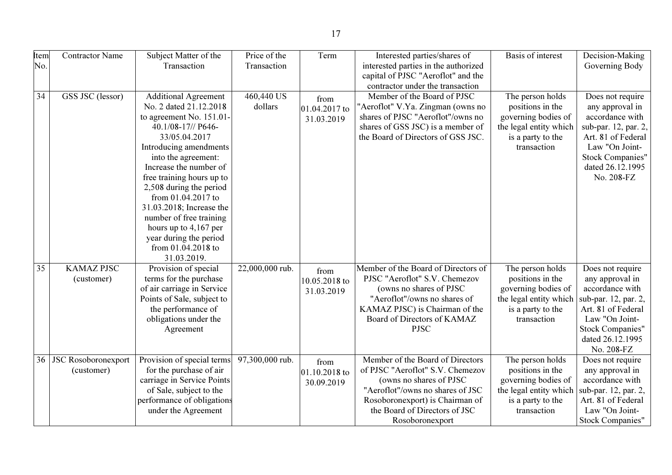| <b>Item</b><br>No. | <b>Contractor Name</b>                   | Subject Matter of the<br>Transaction                                                                                                                                                                                                                                                                                                                                                                                | Price of the<br>Transaction | Term                                | Interested parties/shares of<br>interested parties in the authorized<br>capital of PJSC "Aeroflot" and the                                                                                                                 | Basis of interest                                                                                                         | Decision-Making<br>Governing Body                                                                                                                                                   |
|--------------------|------------------------------------------|---------------------------------------------------------------------------------------------------------------------------------------------------------------------------------------------------------------------------------------------------------------------------------------------------------------------------------------------------------------------------------------------------------------------|-----------------------------|-------------------------------------|----------------------------------------------------------------------------------------------------------------------------------------------------------------------------------------------------------------------------|---------------------------------------------------------------------------------------------------------------------------|-------------------------------------------------------------------------------------------------------------------------------------------------------------------------------------|
| $\overline{34}$    | GSS JSC (lessor)                         | <b>Additional Agreement</b><br>No. 2 dated 21.12.2018<br>to agreement No. 151.01-<br>40.1/08-17// P646-<br>33/05.04.2017<br>Introducing amendments<br>into the agreement:<br>Increase the number of<br>free training hours up to<br>2,508 during the period<br>from 01.04.2017 to<br>31.03.2018; Increase the<br>number of free training<br>hours up to $4,167$ per<br>year during the period<br>from 01.04.2018 to | 460,440 US<br>dollars       | from<br>01.04.2017 to<br>31.03.2019 | contractor under the transaction<br>Member of the Board of PJSC<br>'Aeroflot" V.Ya. Zingman (owns no<br>shares of PJSC "Aeroflot"/owns no<br>shares of GSS JSC) is a member of<br>the Board of Directors of GSS JSC.       | The person holds<br>positions in the<br>governing bodies of<br>the legal entity which<br>is a party to the<br>transaction | Does not require<br>any approval in<br>accordance with<br>sub-par. 12, par. 2,<br>Art. 81 of Federal<br>Law "On Joint-<br><b>Stock Companies"</b><br>dated 26.12.1995<br>No. 208-FZ |
| 35                 | <b>KAMAZ PJSC</b><br>(customer)          | 31.03.2019.<br>Provision of special<br>terms for the purchase<br>of air carriage in Service<br>Points of Sale, subject to<br>the performance of<br>obligations under the<br>Agreement                                                                                                                                                                                                                               | 22,000,000 rub.             | from<br>10.05.2018 to<br>31.03.2019 | Member of the Board of Directors of<br>PJSC "Aeroflot" S.V. Chemezov<br>(owns no shares of PJSC)<br>"Aeroflot"/owns no shares of<br>KAMAZ PJSC) is Chairman of the<br>Board of Directors of KAMAZ<br><b>PJSC</b>           | The person holds<br>positions in the<br>governing bodies of<br>the legal entity which<br>is a party to the<br>transaction | Does not require<br>any approval in<br>accordance with<br>sub-par. 12, par. 2,<br>Art. 81 of Federal<br>Law "On Joint-<br><b>Stock Companies"</b><br>dated 26.12.1995<br>No. 208-FZ |
| 36 <sup>°</sup>    | <b>JSC Rosoboronexport</b><br>(customer) | Provision of special terms<br>for the purchase of air<br>carriage in Service Points<br>of Sale, subject to the<br>performance of obligations<br>under the Agreement                                                                                                                                                                                                                                                 | 97,300,000 rub.             | from<br>01.10.2018 to<br>30.09.2019 | Member of the Board of Directors<br>of PJSC "Aeroflot" S.V. Chemezov<br>(owns no shares of PJSC<br>"Aeroflot"/owns no shares of JSC<br>Rosoboronexport) is Chairman of<br>the Board of Directors of JSC<br>Rosoboronexport | The person holds<br>positions in the<br>governing bodies of<br>the legal entity which<br>is a party to the<br>transaction | Does not require<br>any approval in<br>accordance with<br>sub-par. 12, par. 2,<br>Art. 81 of Federal<br>Law "On Joint-<br><b>Stock Companies"</b>                                   |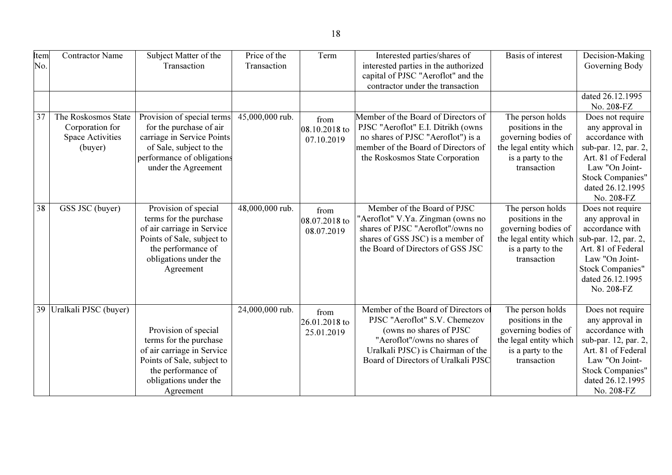| Item<br>No. | <b>Contractor Name</b>                                                       | Subject Matter of the<br>Transaction                                                                                                                                   | Price of the<br>Transaction | Term                                | Interested parties/shares of<br>interested parties in the authorized<br>capital of PJSC "Aeroflot" and the<br>contractor under the transaction                                                               | <b>Basis of interest</b>                                                                                                  | Decision-Making<br>Governing Body                                                                                                                                                   |
|-------------|------------------------------------------------------------------------------|------------------------------------------------------------------------------------------------------------------------------------------------------------------------|-----------------------------|-------------------------------------|--------------------------------------------------------------------------------------------------------------------------------------------------------------------------------------------------------------|---------------------------------------------------------------------------------------------------------------------------|-------------------------------------------------------------------------------------------------------------------------------------------------------------------------------------|
|             |                                                                              |                                                                                                                                                                        |                             |                                     |                                                                                                                                                                                                              |                                                                                                                           | dated 26.12.1995<br>No. 208-FZ                                                                                                                                                      |
| 37          | The Roskosmos State<br>Corporation for<br><b>Space Activities</b><br>(buyer) | Provision of special terms<br>for the purchase of air<br>carriage in Service Points<br>of Sale, subject to the<br>performance of obligations<br>under the Agreement    | 45,000,000 rub.             | from<br>08.10.2018 to<br>07.10.2019 | Member of the Board of Directors of<br>PJSC "Aeroflot" E.I. Ditrikh (owns<br>no shares of PJSC "Aeroflot") is a<br>member of the Board of Directors of<br>the Roskosmos State Corporation                    | The person holds<br>positions in the<br>governing bodies of<br>the legal entity which<br>is a party to the<br>transaction | Does not require<br>any approval in<br>accordance with<br>sub-par. 12, par. 2,<br>Art. 81 of Federal<br>Law "On Joint-<br><b>Stock Companies"</b><br>dated 26.12.1995<br>No. 208-FZ |
| 38          | GSS JSC (buyer)                                                              | Provision of special<br>terms for the purchase<br>of air carriage in Service<br>Points of Sale, subject to<br>the performance of<br>obligations under the<br>Agreement | 48,000,000 rub.             | from<br>08.07.2018 to<br>08.07.2019 | Member of the Board of PJSC<br>"Aeroflot" V.Ya. Zingman (owns no<br>shares of PJSC "Aeroflot"/owns no<br>shares of GSS JSC) is a member of<br>the Board of Directors of GSS JSC                              | The person holds<br>positions in the<br>governing bodies of<br>the legal entity which<br>is a party to the<br>transaction | Does not require<br>any approval in<br>accordance with<br>sub-par. 12, par. 2,<br>Art. 81 of Federal<br>Law "On Joint-<br><b>Stock Companies"</b><br>dated 26.12.1995<br>No. 208-FZ |
| 39          | Uralkali PJSC (buyer)                                                        | Provision of special<br>terms for the purchase<br>of air carriage in Service<br>Points of Sale, subject to<br>the performance of<br>obligations under the<br>Agreement | 24,000,000 rub.             | from<br>26.01.2018 to<br>25.01.2019 | Member of the Board of Directors of<br>PJSC "Aeroflot" S.V. Chemezov<br>(owns no shares of PJSC)<br>"Aeroflot"/owns no shares of<br>Uralkali PJSC) is Chairman of the<br>Board of Directors of Uralkali PJSC | The person holds<br>positions in the<br>governing bodies of<br>the legal entity which<br>is a party to the<br>transaction | Does not require<br>any approval in<br>accordance with<br>sub-par. 12, par. 2,<br>Art. 81 of Federal<br>Law "On Joint-<br><b>Stock Companies"</b><br>dated 26.12.1995<br>No. 208-FZ |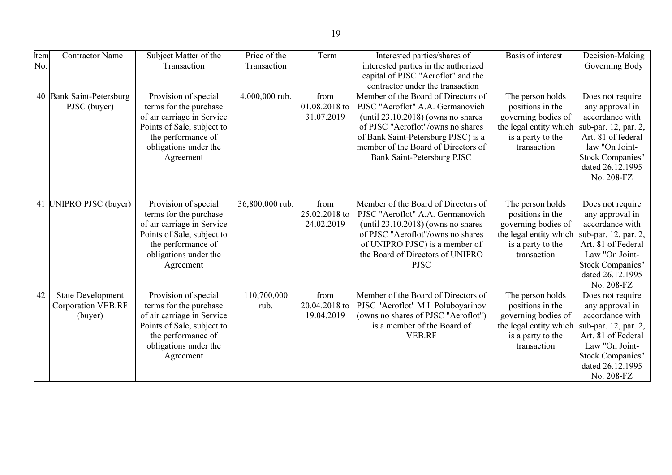| Item | <b>Contractor Name</b>    | Subject Matter of the      | Price of the    | Term          | Interested parties/shares of          | Basis of interest      | Decision-Making         |
|------|---------------------------|----------------------------|-----------------|---------------|---------------------------------------|------------------------|-------------------------|
| No.  |                           | Transaction                | Transaction     |               | interested parties in the authorized  |                        | Governing Body          |
|      |                           |                            |                 |               | capital of PJSC "Aeroflot" and the    |                        |                         |
|      |                           |                            |                 |               | contractor under the transaction      |                        |                         |
|      | 40 Bank Saint-Petersburg  | Provision of special       | 4,000,000 rub.  | from          | Member of the Board of Directors of   | The person holds       | Does not require        |
|      | PJSC (buyer)              | terms for the purchase     |                 | 01.08.2018 to | PJSC "Aeroflot" A.A. Germanovich      | positions in the       | any approval in         |
|      |                           | of air carriage in Service |                 | 31.07.2019    | (until $23.10.2018$ ) (owns no shares | governing bodies of    | accordance with         |
|      |                           | Points of Sale, subject to |                 |               | of PJSC "Aeroflot"/owns no shares     | the legal entity which | sub-par. 12, par. 2,    |
|      |                           | the performance of         |                 |               | of Bank Saint-Petersburg PJSC) is a   | is a party to the      | Art. 81 of federal      |
|      |                           | obligations under the      |                 |               | member of the Board of Directors of   | transaction            | law "On Joint-          |
|      |                           | Agreement                  |                 |               | Bank Saint-Petersburg PJSC            |                        | Stock Companies"        |
|      |                           |                            |                 |               |                                       |                        | dated 26.12.1995        |
|      |                           |                            |                 |               |                                       |                        | No. 208-FZ              |
|      |                           |                            |                 |               |                                       |                        |                         |
|      |                           |                            |                 |               |                                       |                        |                         |
|      | 41 UNIPRO PJSC (buyer)    | Provision of special       | 36,800,000 rub. | from          | Member of the Board of Directors of   | The person holds       | Does not require        |
|      |                           | terms for the purchase     |                 | 25.02.2018 to | PJSC "Aeroflot" A.A. Germanovich      | positions in the       | any approval in         |
|      |                           | of air carriage in Service |                 | 24.02.2019    | (until $23.10.2018$ ) (owns no shares | governing bodies of    | accordance with         |
|      |                           | Points of Sale, subject to |                 |               | of PJSC "Aeroflot"/owns no shares     | the legal entity which | sub-par. 12, par. 2,    |
|      |                           | the performance of         |                 |               | of UNIPRO PJSC) is a member of        | is a party to the      | Art. 81 of Federal      |
|      |                           | obligations under the      |                 |               | the Board of Directors of UNIPRO      | transaction            | Law "On Joint-          |
|      |                           | Agreement                  |                 |               | <b>PJSC</b>                           |                        | <b>Stock Companies"</b> |
|      |                           |                            |                 |               |                                       |                        | dated 26.12.1995        |
|      |                           |                            |                 |               |                                       |                        | No. 208-FZ              |
| 42   | <b>State Development</b>  | Provision of special       | 110,700,000     | from          | Member of the Board of Directors of   | The person holds       | Does not require        |
|      | <b>Corporation VEB.RF</b> | terms for the purchase     | rub.            | 20.04.2018 to | PJSC "Aeroflot" M.I. Poluboyarinov    | positions in the       | any approval in         |
|      | (buyer)                   | of air carriage in Service |                 | 19.04.2019    | (owns no shares of PJSC "Aeroflot")   | governing bodies of    | accordance with         |
|      |                           | Points of Sale, subject to |                 |               | is a member of the Board of           | the legal entity which | sub-par. 12, par. 2,    |
|      |                           | the performance of         |                 |               | <b>VEB.RF</b>                         | is a party to the      | Art. 81 of Federal      |
|      |                           | obligations under the      |                 |               |                                       | transaction            | Law "On Joint-          |
|      |                           | Agreement                  |                 |               |                                       |                        | Stock Companies"        |
|      |                           |                            |                 |               |                                       |                        | dated 26.12.1995        |
|      |                           |                            |                 |               |                                       |                        | No. 208-FZ              |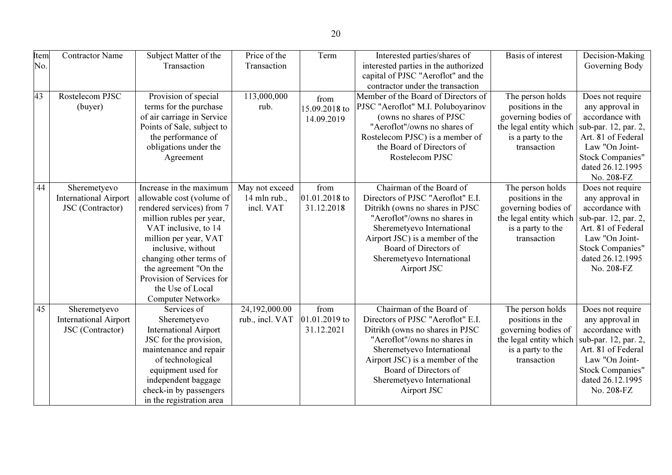| Item            | <b>Contractor Name</b>       | Subject Matter of the        | Price of the    | Term          | Interested parties/shares of         | Basis of interest      | Decision-Making         |
|-----------------|------------------------------|------------------------------|-----------------|---------------|--------------------------------------|------------------------|-------------------------|
| No.             |                              | Transaction                  | Transaction     |               | interested parties in the authorized |                        | Governing Body          |
|                 |                              |                              |                 |               | capital of PJSC "Aeroflot" and the   |                        |                         |
|                 |                              |                              |                 |               | contractor under the transaction     |                        |                         |
| 43              | Rostelecom PJSC              | Provision of special         | 113,000,000     | from          | Member of the Board of Directors of  | The person holds       | Does not require        |
|                 | (buyer)                      | terms for the purchase       | rub.            | 15.09.2018 to | PJSC "Aeroflot" M.I. Poluboyarinov   | positions in the       | any approval in         |
|                 |                              | of air carriage in Service   |                 | 14.09.2019    | (owns no shares of PJSC              | governing bodies of    | accordance with         |
|                 |                              | Points of Sale, subject to   |                 |               | "Aeroflot"/owns no shares of         | the legal entity which | sub-par. 12, par. 2,    |
|                 |                              | the performance of           |                 |               | Rostelecom PJSC) is a member of      | is a party to the      | Art. 81 of Federal      |
|                 |                              | obligations under the        |                 |               | the Board of Directors of            | transaction            | Law "On Joint-          |
|                 |                              | Agreement                    |                 |               | Rostelecom PJSC                      |                        | <b>Stock Companies"</b> |
|                 |                              |                              |                 |               |                                      |                        | dated 26.12.1995        |
|                 |                              |                              |                 |               |                                      |                        | No. 208-FZ              |
| 44              | Sheremetyevo                 | Increase in the maximum      | May not exceed  | from          | Chairman of the Board of             | The person holds       | Does not require        |
|                 | <b>International Airport</b> | allowable cost (volume of    | 14 mln rub.,    | 01.01.2018 to | Directors of PJSC "Aeroflot" E.I.    | positions in the       | any approval in         |
|                 | JSC (Contractor)             | rendered services) from 7    | incl. VAT       | 31.12.2018    | Ditrikh (owns no shares in PJSC      | governing bodies of    | accordance with         |
|                 |                              | million rubles per year,     |                 |               | "Aeroflot"/owns no shares in         | the legal entity which | sub-par. 12, par. 2,    |
|                 |                              | VAT inclusive, to 14         |                 |               | Sheremetyevo International           | is a party to the      | Art. 81 of Federal      |
|                 |                              | million per year, VAT        |                 |               | Airport JSC) is a member of the      | transaction            | Law "On Joint-          |
|                 |                              | inclusive, without           |                 |               | Board of Directors of                |                        | <b>Stock Companies"</b> |
|                 |                              | changing other terms of      |                 |               | Sheremetyevo International           |                        | dated 26.12.1995        |
|                 |                              | the agreement "On the        |                 |               | Airport JSC                          |                        | No. 208-FZ              |
|                 |                              | Provision of Services for    |                 |               |                                      |                        |                         |
|                 |                              | the Use of Local             |                 |               |                                      |                        |                         |
|                 |                              | Computer Network»            |                 |               |                                      |                        |                         |
| $\overline{45}$ | Sheremetyevo                 | Services of                  | 24,192,000.00   | from          | Chairman of the Board of             | The person holds       | Does not require        |
|                 | <b>International Airport</b> | Sheremetyevo                 | rub., incl. VAT | 01.01.2019 to | Directors of PJSC "Aeroflot" E.I.    | positions in the       | any approval in         |
|                 | JSC (Contractor)             | <b>International Airport</b> |                 | 31.12.2021    | Ditrikh (owns no shares in PJSC      | governing bodies of    | accordance with         |
|                 |                              | JSC for the provision,       |                 |               | "Aeroflot"/owns no shares in         | the legal entity which | sub-par. 12, par. 2,    |
|                 |                              | maintenance and repair       |                 |               | Sheremetyevo International           | is a party to the      | Art. 81 of Federal      |
|                 |                              | of technological             |                 |               | Airport JSC) is a member of the      | transaction            | Law "On Joint-          |
|                 |                              | equipment used for           |                 |               | Board of Directors of                |                        | <b>Stock Companies"</b> |
|                 |                              | independent baggage          |                 |               | Sheremetyevo International           |                        | dated 26.12.1995        |
|                 |                              | check-in by passengers       |                 |               | Airport JSC                          |                        | No. 208-FZ              |
|                 |                              | in the registration area     |                 |               |                                      |                        |                         |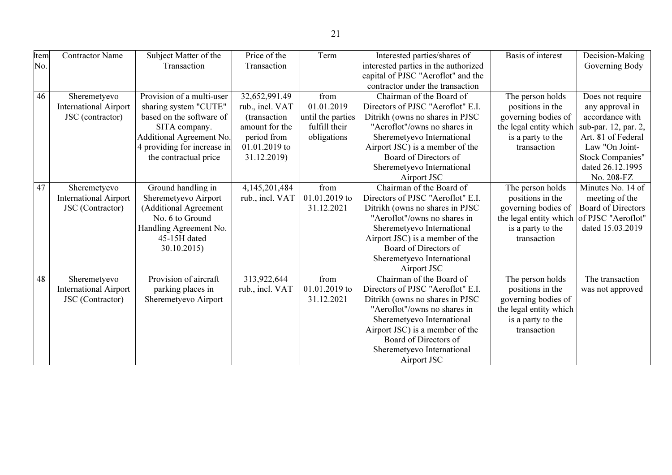| Item | <b>Contractor Name</b>       | Subject Matter of the       | Price of the    | Term              | Interested parties/shares of         | <b>Basis of interest</b> | Decision-Making           |
|------|------------------------------|-----------------------------|-----------------|-------------------|--------------------------------------|--------------------------|---------------------------|
| No.  |                              | Transaction                 | Transaction     |                   | interested parties in the authorized |                          | Governing Body            |
|      |                              |                             |                 |                   | capital of PJSC "Aeroflot" and the   |                          |                           |
|      |                              |                             |                 |                   | contractor under the transaction     |                          |                           |
| 46   | Sheremetyevo                 | Provision of a multi-user   | 32,652,991.49   | from              | Chairman of the Board of             | The person holds         | Does not require          |
|      | <b>International Airport</b> | sharing system "CUTE"       | rub., incl. VAT | 01.01.2019        | Directors of PJSC "Aeroflot" E.I.    | positions in the         | any approval in           |
|      | JSC (contractor)             | based on the software of    | (transaction    | until the parties | Ditrikh (owns no shares in PJSC      | governing bodies of      | accordance with           |
|      |                              | SITA company.               | amount for the  | fulfill their     | "Aeroflot"/owns no shares in         | the legal entity which   | sub-par. 12, par. 2,      |
|      |                              | Additional Agreement No.    | period from     | obligations       | Sheremetyevo International           | is a party to the        | Art. 81 of Federal        |
|      |                              | 4 providing for increase in | 01.01.2019 to   |                   | Airport JSC) is a member of the      | transaction              | Law "On Joint-            |
|      |                              | the contractual price       | 31.12.2019)     |                   | Board of Directors of                |                          | Stock Companies"          |
|      |                              |                             |                 |                   | Sheremetyevo International           |                          | dated 26.12.1995          |
|      |                              |                             |                 |                   | Airport JSC                          |                          | No. 208-FZ                |
| 47   | Sheremetyevo                 | Ground handling in          | 4,145,201,484   | from              | Chairman of the Board of             | The person holds         | Minutes No. 14 of         |
|      | <b>International Airport</b> | Sheremetyevo Airport        | rub., incl. VAT | 01.01.2019 to     | Directors of PJSC "Aeroflot" E.I.    | positions in the         | meeting of the            |
|      | JSC (Contractor)             | (Additional Agreement       |                 | 31.12.2021        | Ditrikh (owns no shares in PJSC      | governing bodies of      | <b>Board of Directors</b> |
|      |                              | No. 6 to Ground             |                 |                   | "Aeroflot"/owns no shares in         | the legal entity which   | of PJSC "Aeroflot"        |
|      |                              | Handling Agreement No.      |                 |                   | Sheremetyevo International           | is a party to the        | dated 15.03.2019          |
|      |                              | 45-15H dated                |                 |                   | Airport JSC) is a member of the      | transaction              |                           |
|      |                              | 30.10.2015)                 |                 |                   | Board of Directors of                |                          |                           |
|      |                              |                             |                 |                   | Sheremetyevo International           |                          |                           |
|      |                              |                             |                 |                   | Airport JSC                          |                          |                           |
| 48   | Sheremetyevo                 | Provision of aircraft       | 313,922,644     | from              | Chairman of the Board of             | The person holds         | The transaction           |
|      | <b>International Airport</b> | parking places in           | rub., incl. VAT | 01.01.2019 to     | Directors of PJSC "Aeroflot" E.I.    | positions in the         | was not approved          |
|      | JSC (Contractor)             | Sheremetyevo Airport        |                 | 31.12.2021        | Ditrikh (owns no shares in PJSC      | governing bodies of      |                           |
|      |                              |                             |                 |                   | "Aeroflot"/owns no shares in         | the legal entity which   |                           |
|      |                              |                             |                 |                   | Sheremetyevo International           | is a party to the        |                           |
|      |                              |                             |                 |                   | Airport JSC) is a member of the      | transaction              |                           |
|      |                              |                             |                 |                   | Board of Directors of                |                          |                           |
|      |                              |                             |                 |                   | Sheremetyevo International           |                          |                           |
|      |                              |                             |                 |                   | Airport JSC                          |                          |                           |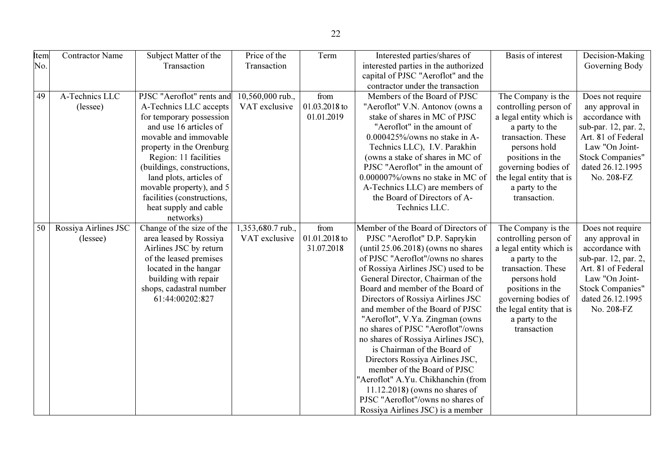| <b>Item</b> | <b>Contractor Name</b> | Subject Matter of the      | Price of the      | Term          | Interested parties/shares of          | <b>Basis of interest</b> | Decision-Making         |
|-------------|------------------------|----------------------------|-------------------|---------------|---------------------------------------|--------------------------|-------------------------|
| No.         |                        | Transaction                | Transaction       |               | interested parties in the authorized  |                          | Governing Body          |
|             |                        |                            |                   |               | capital of PJSC "Aeroflot" and the    |                          |                         |
|             |                        |                            |                   |               | contractor under the transaction      |                          |                         |
| 49          | A-Technics LLC         | PJSC "Aeroflot" rents and  | 10,560,000 rub.,  | from          | Members of the Board of PJSC          | The Company is the       | Does not require        |
|             | (lessee)               | A-Technics LLC accepts     | VAT exclusive     | 01.03.2018 to | "Aeroflot" V.N. Antonov (owns a       | controlling person of    | any approval in         |
|             |                        | for temporary possession   |                   | 01.01.2019    | stake of shares in MC of PJSC         | a legal entity which is  | accordance with         |
|             |                        | and use 16 articles of     |                   |               | "Aeroflot" in the amount of           | a party to the           | sub-par. 12, par. 2,    |
|             |                        | movable and immovable      |                   |               | $0.000425\%$ /owns no stake in A-     | transaction. These       | Art. 81 of Federal      |
|             |                        | property in the Orenburg   |                   |               | Technics LLC), I.V. Parakhin          | persons hold             | Law "On Joint-          |
|             |                        | Region: 11 facilities      |                   |               | (owns a stake of shares in MC of      | positions in the         | <b>Stock Companies"</b> |
|             |                        | (buildings, constructions, |                   |               | PJSC "Aeroflot" in the amount of      | governing bodies of      | dated 26.12.1995        |
|             |                        | land plots, articles of    |                   |               | 0.000007%/owns no stake in MC of      | the legal entity that is | No. 208-FZ              |
|             |                        | movable property), and 5   |                   |               | A-Technics LLC) are members of        | a party to the           |                         |
|             |                        | facilities (constructions, |                   |               | the Board of Directors of A-          | transaction.             |                         |
|             |                        | heat supply and cable      |                   |               | Technics LLC.                         |                          |                         |
|             |                        | networks)                  |                   |               |                                       |                          |                         |
| 50          | Rossiya Airlines JSC   | Change of the size of the  | 1,353,680.7 rub., | from          | Member of the Board of Directors of   | The Company is the       | Does not require        |
|             | (lessee)               | area leased by Rossiya     | VAT exclusive     | 01.01.2018 to | PJSC "Aeroflot" D.P. Saprykin         | controlling person of    | any approval in         |
|             |                        | Airlines JSC by return     |                   | 31.07.2018    | (until $25.06.2018$ ) (owns no shares | a legal entity which is  | accordance with         |
|             |                        | of the leased premises     |                   |               | of PJSC "Aeroflot"/owns no shares     | a party to the           | sub-par. 12, par. 2,    |
|             |                        | located in the hangar      |                   |               | of Rossiya Airlines JSC) used to be   | transaction. These       | Art. 81 of Federal      |
|             |                        | building with repair       |                   |               | General Director, Chairman of the     | persons hold             | Law "On Joint-          |
|             |                        | shops, cadastral number    |                   |               | Board and member of the Board of      | positions in the         | <b>Stock Companies"</b> |
|             |                        | 61:44:00202:827            |                   |               | Directors of Rossiya Airlines JSC     | governing bodies of      | dated 26.12.1995        |
|             |                        |                            |                   |               | and member of the Board of PJSC       | the legal entity that is | No. 208-FZ              |
|             |                        |                            |                   |               | "Aeroflot", V.Ya. Zingman (owns       | a party to the           |                         |
|             |                        |                            |                   |               | no shares of PJSC "Aeroflot"/owns     | transaction              |                         |
|             |                        |                            |                   |               | no shares of Rossiya Airlines JSC),   |                          |                         |
|             |                        |                            |                   |               | is Chairman of the Board of           |                          |                         |
|             |                        |                            |                   |               | Directors Rossiya Airlines JSC,       |                          |                         |
|             |                        |                            |                   |               | member of the Board of PJSC           |                          |                         |
|             |                        |                            |                   |               | "Aeroflot" A.Yu. Chikhanchin (from    |                          |                         |
|             |                        |                            |                   |               | $11.12.2018$ ) (owns no shares of     |                          |                         |
|             |                        |                            |                   |               | PJSC "Aeroflot"/owns no shares of     |                          |                         |
|             |                        |                            |                   |               | Rossiya Airlines JSC) is a member     |                          |                         |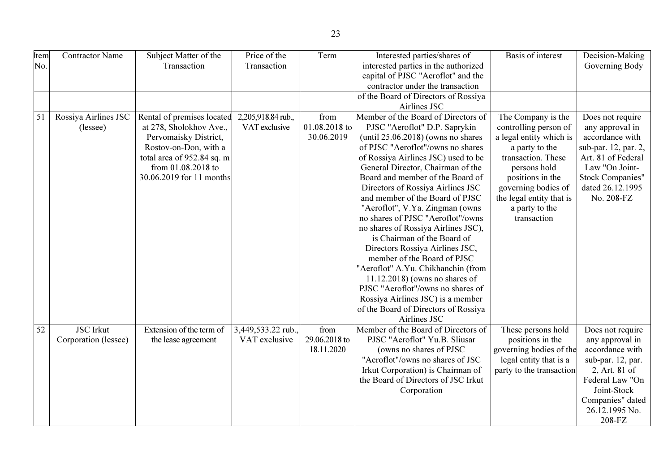| Item | Contractor Name      | Subject Matter of the      | Price of the       | Term          | Interested parties/shares of          | <b>Basis of interest</b> | Decision-Making         |
|------|----------------------|----------------------------|--------------------|---------------|---------------------------------------|--------------------------|-------------------------|
| No.  |                      | Transaction                | Transaction        |               | interested parties in the authorized  |                          | Governing Body          |
|      |                      |                            |                    |               | capital of PJSC "Aeroflot" and the    |                          |                         |
|      |                      |                            |                    |               | contractor under the transaction      |                          |                         |
|      |                      |                            |                    |               | of the Board of Directors of Rossiya  |                          |                         |
|      |                      |                            |                    |               | Airlines JSC                          |                          |                         |
| 51   | Rossiya Airlines JSC | Rental of premises located | 2,205,918.84 rub., | from          | Member of the Board of Directors of   | The Company is the       | Does not require        |
|      | (lessee)             | at 278, Sholokhov Ave.,    | VAT exclusive      | 01.08.2018 to | PJSC "Aeroflot" D.P. Saprykin         | controlling person of    | any approval in         |
|      |                      | Pervomaisky District,      |                    | 30.06.2019    | (until $25.06.2018$ ) (owns no shares | a legal entity which is  | accordance with         |
|      |                      | Rostov-on-Don, with a      |                    |               | of PJSC "Aeroflot"/owns no shares     | a party to the           | sub-par. 12, par. 2,    |
|      |                      | total area of 952.84 sq. m |                    |               | of Rossiya Airlines JSC) used to be   | transaction. These       | Art. 81 of Federal      |
|      |                      | from 01.08.2018 to         |                    |               | General Director, Chairman of the     | persons hold             | Law "On Joint-          |
|      |                      | 30.06.2019 for 11 months   |                    |               | Board and member of the Board of      | positions in the         | <b>Stock Companies"</b> |
|      |                      |                            |                    |               | Directors of Rossiya Airlines JSC     | governing bodies of      | dated 26.12.1995        |
|      |                      |                            |                    |               | and member of the Board of PJSC       | the legal entity that is | No. 208-FZ              |
|      |                      |                            |                    |               | "Aeroflot", V.Ya. Zingman (owns       | a party to the           |                         |
|      |                      |                            |                    |               | no shares of PJSC "Aeroflot"/owns     | transaction              |                         |
|      |                      |                            |                    |               | no shares of Rossiya Airlines JSC),   |                          |                         |
|      |                      |                            |                    |               | is Chairman of the Board of           |                          |                         |
|      |                      |                            |                    |               | Directors Rossiya Airlines JSC,       |                          |                         |
|      |                      |                            |                    |               | member of the Board of PJSC           |                          |                         |
|      |                      |                            |                    |               | "Aeroflot" A.Yu. Chikhanchin (from    |                          |                         |
|      |                      |                            |                    |               | $11.12.2018$ ) (owns no shares of     |                          |                         |
|      |                      |                            |                    |               | PJSC "Aeroflot"/owns no shares of     |                          |                         |
|      |                      |                            |                    |               | Rossiya Airlines JSC) is a member     |                          |                         |
|      |                      |                            |                    |               | of the Board of Directors of Rossiya  |                          |                         |
|      |                      |                            |                    |               | Airlines JSC                          |                          |                         |
| 52   | <b>JSC</b> Irkut     | Extension of the term of   | 3,449,533.22 rub., | from          | Member of the Board of Directors of   | These persons hold       | Does not require        |
|      | Corporation (lessee) | the lease agreement        | VAT exclusive      | 29.06.2018 to | PJSC "Aeroflot" Yu.B. Sliusar         | positions in the         | any approval in         |
|      |                      |                            |                    | 18.11.2020    | (owns no shares of PJSC               | governing bodies of the  | accordance with         |
|      |                      |                            |                    |               | "Aeroflot"/owns no shares of JSC      | legal entity that is a   | sub-par. 12, par.       |
|      |                      |                            |                    |               | Irkut Corporation) is Chairman of     | party to the transaction | 2, Art. 81 of           |
|      |                      |                            |                    |               | the Board of Directors of JSC Irkut   |                          | Federal Law "On         |
|      |                      |                            |                    |               | Corporation                           |                          | Joint-Stock             |
|      |                      |                            |                    |               |                                       |                          | Companies" dated        |
|      |                      |                            |                    |               |                                       |                          | 26.12.1995 No.          |
|      |                      |                            |                    |               |                                       |                          | 208-FZ                  |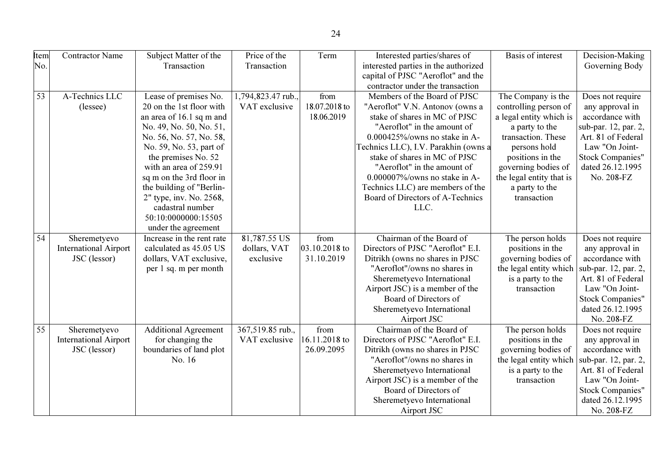| Item            | <b>Contractor Name</b>       | Subject Matter of the       | Price of the       | Term          | Interested parties/shares of         | Basis of interest        | Decision-Making         |
|-----------------|------------------------------|-----------------------------|--------------------|---------------|--------------------------------------|--------------------------|-------------------------|
| No.             |                              | Transaction                 | Transaction        |               | interested parties in the authorized |                          | Governing Body          |
|                 |                              |                             |                    |               | capital of PJSC "Aeroflot" and the   |                          |                         |
|                 |                              |                             |                    |               | contractor under the transaction     |                          |                         |
| $\overline{53}$ | A-Technics LLC               | Lease of premises No.       | 1,794,823.47 rub., | from          | Members of the Board of PJSC         | The Company is the       | Does not require        |
|                 | (lessee)                     | 20 on the 1st floor with    | VAT exclusive      | 18.07.2018 to | "Aeroflot" V.N. Antonov (owns a      | controlling person of    | any approval in         |
|                 |                              | an area of 16.1 sq m and    |                    | 18.06.2019    | stake of shares in MC of PJSC        | a legal entity which is  | accordance with         |
|                 |                              | No. 49, No. 50, No. 51,     |                    |               | "Aeroflot" in the amount of          | a party to the           | sub-par. 12, par. 2,    |
|                 |                              | No. 56, No. 57, No. 58,     |                    |               | 0.000425%/owns no stake in A-        | transaction. These       | Art. 81 of Federal      |
|                 |                              | No. 59, No. 53, part of     |                    |               | Technics LLC), I.V. Parakhin (owns a | persons hold             | Law "On Joint-          |
|                 |                              | the premises No. 52         |                    |               | stake of shares in MC of PJSC        | positions in the         | <b>Stock Companies"</b> |
|                 |                              | with an area of 259.91      |                    |               | "Aeroflot" in the amount of          | governing bodies of      | dated 26.12.1995        |
|                 |                              | sq m on the 3rd floor in    |                    |               | $0.000007\%$ /owns no stake in A-    | the legal entity that is | No. 208-FZ              |
|                 |                              | the building of "Berlin-    |                    |               | Technics LLC) are members of the     | a party to the           |                         |
|                 |                              | 2" type, inv. No. 2568,     |                    |               | Board of Directors of A-Technics     | transaction              |                         |
|                 |                              | cadastral number            |                    |               | LLC.                                 |                          |                         |
|                 |                              | 50:10:0000000:15505         |                    |               |                                      |                          |                         |
|                 |                              | under the agreement         |                    |               |                                      |                          |                         |
| $\overline{54}$ | Sheremetyevo                 | Increase in the rent rate   | 81,787.55 US       | from          | Chairman of the Board of             | The person holds         | Does not require        |
|                 | <b>International Airport</b> | calculated as 45.05 US      | dollars, VAT       | 03.10.2018 to | Directors of PJSC "Aeroflot" E.I.    | positions in the         | any approval in         |
|                 | JSC (lessor)                 | dollars, VAT exclusive,     | exclusive          | 31.10.2019    | Ditrikh (owns no shares in PJSC)     | governing bodies of      | accordance with         |
|                 |                              | per 1 sq. m per month       |                    |               | "Aeroflot"/owns no shares in         | the legal entity which   | sub-par. 12, par. 2,    |
|                 |                              |                             |                    |               | Sheremetyevo International           | is a party to the        | Art. 81 of Federal      |
|                 |                              |                             |                    |               | Airport JSC) is a member of the      | transaction              | Law "On Joint-          |
|                 |                              |                             |                    |               | Board of Directors of                |                          | <b>Stock Companies"</b> |
|                 |                              |                             |                    |               | Sheremetyevo International           |                          | dated 26.12.1995        |
|                 |                              |                             |                    |               | Airport JSC                          |                          | No. 208-FZ              |
| $\overline{55}$ | Sheremetyevo                 | <b>Additional Agreement</b> | 367,519.85 rub.,   | from          | Chairman of the Board of             | The person holds         | Does not require        |
|                 | <b>International Airport</b> | for changing the            | VAT exclusive      | 16.11.2018 to | Directors of PJSC "Aeroflot" E.I.    | positions in the         | any approval in         |
|                 | JSC (lessor)                 | boundaries of land plot     |                    | 26.09.2095    | Ditrikh (owns no shares in PJSC)     | governing bodies of      | accordance with         |
|                 |                              | No. 16                      |                    |               | "Aeroflot"/owns no shares in         | the legal entity which   | sub-par. 12, par. 2,    |
|                 |                              |                             |                    |               | Sheremetyevo International           | is a party to the        | Art. 81 of Federal      |
|                 |                              |                             |                    |               | Airport JSC) is a member of the      | transaction              | Law "On Joint-          |
|                 |                              |                             |                    |               | Board of Directors of                |                          | <b>Stock Companies"</b> |
|                 |                              |                             |                    |               | Sheremetyevo International           |                          | dated 26.12.1995        |
|                 |                              |                             |                    |               | Airport JSC                          |                          | No. 208-FZ              |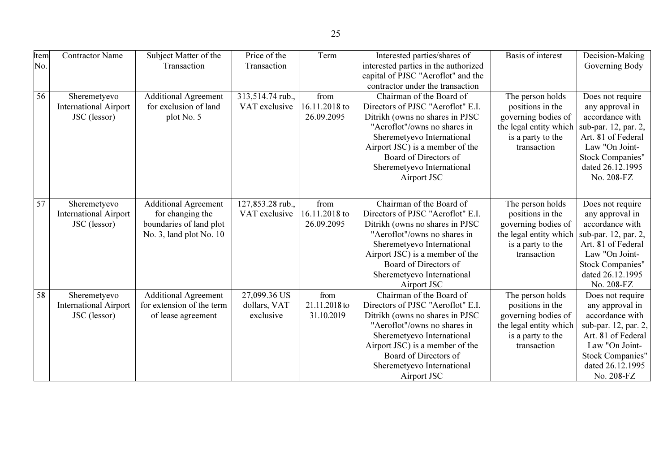| Item            | <b>Contractor Name</b>       | Subject Matter of the       | Price of the     | Term          | Interested parties/shares of         | Basis of interest      | Decision-Making         |
|-----------------|------------------------------|-----------------------------|------------------|---------------|--------------------------------------|------------------------|-------------------------|
| No.             |                              | Transaction                 | Transaction      |               | interested parties in the authorized |                        | Governing Body          |
|                 |                              |                             |                  |               | capital of PJSC "Aeroflot" and the   |                        |                         |
|                 |                              |                             |                  |               | contractor under the transaction     |                        |                         |
| 56              | Sheremetyevo                 | <b>Additional Agreement</b> | 313,514.74 rub., | from          | Chairman of the Board of             | The person holds       | Does not require        |
|                 | <b>International Airport</b> | for exclusion of land       | VAT exclusive    | 16.11.2018 to | Directors of PJSC "Aeroflot" E.I.    | positions in the       | any approval in         |
|                 | JSC (lessor)                 | plot No. 5                  |                  | 26.09.2095    | Ditrikh (owns no shares in PJSC)     | governing bodies of    | accordance with         |
|                 |                              |                             |                  |               | "Aeroflot"/owns no shares in         | the legal entity which | sub-par. 12, par. 2,    |
|                 |                              |                             |                  |               | Sheremetyevo International           | is a party to the      | Art. 81 of Federal      |
|                 |                              |                             |                  |               | Airport JSC) is a member of the      | transaction            | Law "On Joint-          |
|                 |                              |                             |                  |               | Board of Directors of                |                        | <b>Stock Companies"</b> |
|                 |                              |                             |                  |               | Sheremetyevo International           |                        | dated 26.12.1995        |
|                 |                              |                             |                  |               | Airport JSC                          |                        | No. 208-FZ              |
|                 |                              |                             |                  |               |                                      |                        |                         |
|                 |                              |                             |                  |               |                                      |                        |                         |
| 57              | Sheremetyevo                 | <b>Additional Agreement</b> | 127,853.28 rub., | from          | Chairman of the Board of             | The person holds       | Does not require        |
|                 | <b>International Airport</b> | for changing the            | VAT exclusive    | 16.11.2018 to | Directors of PJSC "Aeroflot" E.I.    | positions in the       | any approval in         |
|                 | JSC (lessor)                 | boundaries of land plot     |                  | 26.09.2095    | Ditrikh (owns no shares in PJSC      | governing bodies of    | accordance with         |
|                 |                              | No. 3, land plot No. 10     |                  |               | "Aeroflot"/owns no shares in         | the legal entity which | sub-par. 12, par. 2,    |
|                 |                              |                             |                  |               | Sheremetyevo International           | is a party to the      | Art. 81 of Federal      |
|                 |                              |                             |                  |               | Airport JSC) is a member of the      | transaction            | Law "On Joint-          |
|                 |                              |                             |                  |               | Board of Directors of                |                        | <b>Stock Companies"</b> |
|                 |                              |                             |                  |               | Sheremetyevo International           |                        | dated 26.12.1995        |
|                 |                              |                             |                  |               | Airport JSC                          |                        | No. 208-FZ              |
| $\overline{58}$ | Sheremetyevo                 | <b>Additional Agreement</b> | 27,099.36 US     | from          | Chairman of the Board of             | The person holds       | Does not require        |
|                 | <b>International Airport</b> | for extension of the term   | dollars, VAT     | 21.11.2018 to | Directors of PJSC "Aeroflot" E.I.    | positions in the       | any approval in         |
|                 | JSC (lessor)                 | of lease agreement          | exclusive        | 31.10.2019    | Ditrikh (owns no shares in PJSC      | governing bodies of    | accordance with         |
|                 |                              |                             |                  |               | "Aeroflot"/owns no shares in         | the legal entity which | sub-par. 12, par. 2,    |
|                 |                              |                             |                  |               | Sheremetyevo International           | is a party to the      | Art. 81 of Federal      |
|                 |                              |                             |                  |               | Airport JSC) is a member of the      | transaction            | Law "On Joint-          |
|                 |                              |                             |                  |               | Board of Directors of                |                        | <b>Stock Companies"</b> |
|                 |                              |                             |                  |               | Sheremetyevo International           |                        | dated 26.12.1995        |
|                 |                              |                             |                  |               | Airport JSC                          |                        | No. 208-FZ              |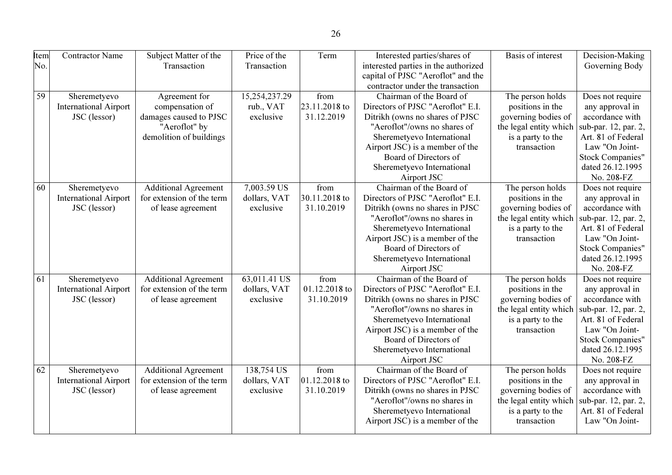|    | <b>Item</b> | <b>Contractor Name</b>       | Subject Matter of the       | Price of the  | Term          | Interested parties/shares of         | <b>Basis of interest</b> | Decision-Making         |
|----|-------------|------------------------------|-----------------------------|---------------|---------------|--------------------------------------|--------------------------|-------------------------|
|    | No.         |                              | Transaction                 | Transaction   |               | interested parties in the authorized |                          | Governing Body          |
|    |             |                              |                             |               |               | capital of PJSC "Aeroflot" and the   |                          |                         |
|    |             |                              |                             |               |               | contractor under the transaction     |                          |                         |
|    | 59          | Sheremetyevo                 | Agreement for               | 15,254,237.29 | from          | Chairman of the Board of             | The person holds         | Does not require        |
|    |             | <b>International Airport</b> | compensation of             | rub., VAT     | 23.11.2018 to | Directors of PJSC "Aeroflot" E.I.    | positions in the         | any approval in         |
|    |             | JSC (lessor)                 | damages caused to PJSC      | exclusive     | 31.12.2019    | Ditrikh (owns no shares of PJSC      | governing bodies of      | accordance with         |
|    |             |                              | "Aeroflot" by               |               |               | "Aeroflot"/owns no shares of         | the legal entity which   | sub-par. 12, par. 2,    |
|    |             |                              | demolition of buildings     |               |               | Sheremetyevo International           | is a party to the        | Art. 81 of Federal      |
|    |             |                              |                             |               |               | Airport JSC) is a member of the      | transaction              | Law "On Joint-          |
|    |             |                              |                             |               |               | Board of Directors of                |                          | <b>Stock Companies"</b> |
|    |             |                              |                             |               |               | Sheremetyevo International           |                          | dated 26.12.1995        |
|    |             |                              |                             |               |               | Airport JSC                          |                          | No. 208-FZ              |
|    | 60          | Sheremetyevo                 | <b>Additional Agreement</b> | 7,003.59 US   | from          | Chairman of the Board of             | The person holds         | Does not require        |
|    |             | <b>International Airport</b> | for extension of the term   | dollars, VAT  | 30.11.2018 to | Directors of PJSC "Aeroflot" E.I.    | positions in the         | any approval in         |
|    |             | JSC (lessor)                 | of lease agreement          | exclusive     | 31.10.2019    | Ditrikh (owns no shares in PJSC      | governing bodies of      | accordance with         |
|    |             |                              |                             |               |               | "Aeroflot"/owns no shares in         | the legal entity which   | sub-par. 12, par. 2,    |
|    |             |                              |                             |               |               | Sheremetyevo International           | is a party to the        | Art. 81 of Federal      |
|    |             |                              |                             |               |               | Airport JSC) is a member of the      | transaction              | Law "On Joint-          |
|    |             |                              |                             |               |               | Board of Directors of                |                          | <b>Stock Companies"</b> |
|    |             |                              |                             |               |               | Sheremetyevo International           |                          | dated 26.12.1995        |
|    |             |                              |                             |               |               | Airport JSC                          |                          | No. 208-FZ              |
| 61 |             | Sheremetyevo                 | <b>Additional Agreement</b> | 63,011.41 US  | from          | Chairman of the Board of             | The person holds         | Does not require        |
|    |             | <b>International Airport</b> | for extension of the term   | dollars, VAT  | 01.12.2018 to | Directors of PJSC "Aeroflot" E.I.    | positions in the         | any approval in         |
|    |             | JSC (lessor)                 | of lease agreement          | exclusive     | 31.10.2019    | Ditrikh (owns no shares in PJSC      | governing bodies of      | accordance with         |
|    |             |                              |                             |               |               | "Aeroflot"/owns no shares in         | the legal entity which   | sub-par. 12, par. 2,    |
|    |             |                              |                             |               |               | Sheremetyevo International           | is a party to the        | Art. 81 of Federal      |
|    |             |                              |                             |               |               | Airport JSC) is a member of the      | transaction              | Law "On Joint-          |
|    |             |                              |                             |               |               | Board of Directors of                |                          | <b>Stock Companies"</b> |
|    |             |                              |                             |               |               | Sheremetyevo International           |                          | dated 26.12.1995        |
|    |             |                              |                             |               |               | Airport JSC                          |                          | No. 208-FZ              |
|    | 62          | Sheremetyevo                 | <b>Additional Agreement</b> | 138,754 US    | from          | Chairman of the Board of             | The person holds         | Does not require        |
|    |             | <b>International Airport</b> | for extension of the term   | dollars, VAT  | 01.12.2018 to | Directors of PJSC "Aeroflot" E.I.    | positions in the         | any approval in         |
|    |             | JSC (lessor)                 | of lease agreement          | exclusive     | 31.10.2019    | Ditrikh (owns no shares in PJSC      | governing bodies of      | accordance with         |
|    |             |                              |                             |               |               | "Aeroflot"/owns no shares in         | the legal entity which   | sub-par. 12, par. 2,    |
|    |             |                              |                             |               |               | Sheremetyevo International           | is a party to the        | Art. 81 of Federal      |
|    |             |                              |                             |               |               | Airport JSC) is a member of the      | transaction              | Law "On Joint-          |
|    |             |                              |                             |               |               |                                      |                          |                         |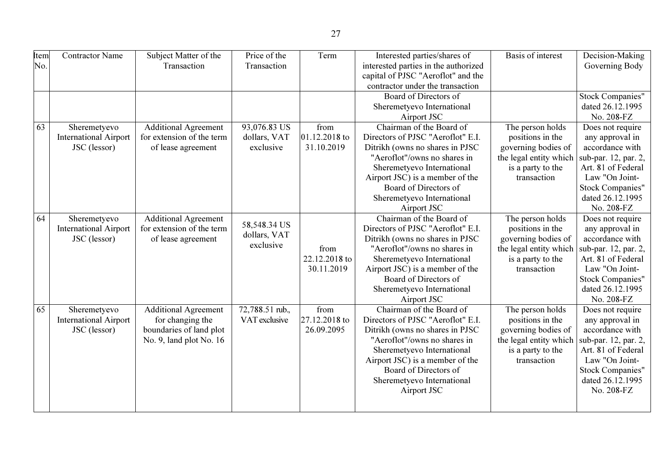| Item<br>No. | <b>Contractor Name</b>                                       | Subject Matter of the<br>Transaction                                                                  | Price of the<br>Transaction               | Term                                | Interested parties/shares of<br>interested parties in the authorized<br>capital of PJSC "Aeroflot" and the<br>contractor under the transaction<br>Board of Directors of                                                                                                                                                                                                                              | <b>Basis of interest</b>                                                                                                  | Decision-Making<br>Governing Body<br><b>Stock Companies"</b>                                                                                                                        |
|-------------|--------------------------------------------------------------|-------------------------------------------------------------------------------------------------------|-------------------------------------------|-------------------------------------|------------------------------------------------------------------------------------------------------------------------------------------------------------------------------------------------------------------------------------------------------------------------------------------------------------------------------------------------------------------------------------------------------|---------------------------------------------------------------------------------------------------------------------------|-------------------------------------------------------------------------------------------------------------------------------------------------------------------------------------|
|             |                                                              |                                                                                                       |                                           |                                     | Sheremetyevo International<br>Airport JSC                                                                                                                                                                                                                                                                                                                                                            |                                                                                                                           | dated 26.12.1995<br>No. 208-FZ                                                                                                                                                      |
| 63          | Sheremetyevo<br><b>International Airport</b><br>JSC (lessor) | <b>Additional Agreement</b><br>for extension of the term<br>of lease agreement                        | 93,076.83 US<br>dollars, VAT<br>exclusive | from<br>01.12.2018 to<br>31.10.2019 | Chairman of the Board of<br>The person holds<br>Directors of PJSC "Aeroflot" E.I.<br>positions in the<br>Ditrikh (owns no shares in PJSC<br>governing bodies of<br>"Aeroflot"/owns no shares in<br>the legal entity which<br>Sheremetyevo International<br>is a party to the<br>Airport JSC) is a member of the<br>transaction<br>Board of Directors of<br>Sheremetyevo International<br>Airport JSC |                                                                                                                           | Does not require<br>any approval in<br>accordance with<br>sub-par. 12, par. 2,<br>Art. 81 of Federal<br>Law "On Joint-<br><b>Stock Companies"</b><br>dated 26.12.1995<br>No. 208-FZ |
| 64          | Sheremetyevo<br><b>International Airport</b><br>JSC (lessor) | <b>Additional Agreement</b><br>for extension of the term<br>of lease agreement                        | 58,548.34 US<br>dollars, VAT<br>exclusive | from<br>22.12.2018 to<br>30.11.2019 | Chairman of the Board of<br>Directors of PJSC "Aeroflot" E.I.<br>Ditrikh (owns no shares in PJSC<br>"Aeroflot"/owns no shares in<br>Sheremetyevo International<br>Airport JSC) is a member of the<br>Board of Directors of<br>Sheremetyevo International<br>Airport JSC                                                                                                                              | The person holds<br>positions in the<br>governing bodies of<br>the legal entity which<br>is a party to the<br>transaction | Does not require<br>any approval in<br>accordance with<br>sub-par. 12, par. 2,<br>Art. 81 of Federal<br>Law "On Joint-<br><b>Stock Companies"</b><br>dated 26.12.1995<br>No. 208-FZ |
| 65          | Sheremetyevo<br><b>International Airport</b><br>JSC (lessor) | <b>Additional Agreement</b><br>for changing the<br>boundaries of land plot<br>No. 9, land plot No. 16 | 72,788.51 rub.,<br>VAT exclusive          | from<br>27.12.2018 to<br>26.09.2095 | Chairman of the Board of<br>Directors of PJSC "Aeroflot" E.I.<br>Ditrikh (owns no shares in PJSC<br>"Aeroflot"/owns no shares in<br>Sheremetyevo International<br>Airport JSC) is a member of the<br>Board of Directors of<br>Sheremetyevo International<br>Airport JSC                                                                                                                              | The person holds<br>positions in the<br>governing bodies of<br>the legal entity which<br>is a party to the<br>transaction | Does not require<br>any approval in<br>accordance with<br>sub-par. 12, par. 2,<br>Art. 81 of Federal<br>Law "On Joint-<br><b>Stock Companies"</b><br>dated 26.12.1995<br>No. 208-FZ |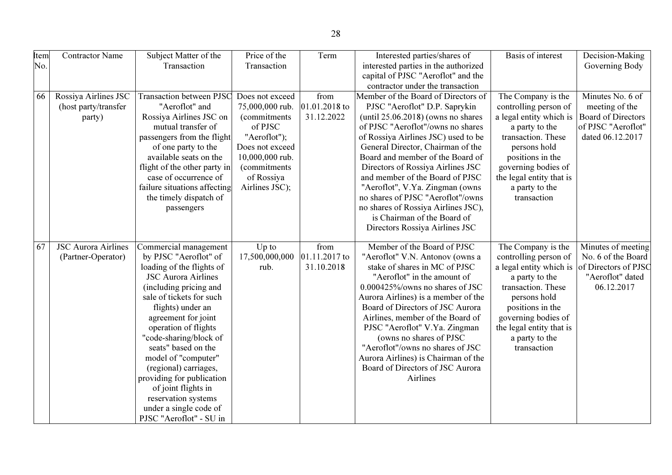| Item<br>No. | <b>Contractor Name</b>                                 | Subject Matter of the<br>Transaction                                                                                                                                                                                                                                                                                                                                                                                                                                 | Price of the<br>Transaction                                                                                                                                                         | Term                                | Interested parties/shares of<br>interested parties in the authorized                                                                                                                                                                                                                                                                                                                                                                                                                                                       | Basis of interest                                                                                                                                                                                                                      | Decision-Making<br>Governing Body                                                                         |
|-------------|--------------------------------------------------------|----------------------------------------------------------------------------------------------------------------------------------------------------------------------------------------------------------------------------------------------------------------------------------------------------------------------------------------------------------------------------------------------------------------------------------------------------------------------|-------------------------------------------------------------------------------------------------------------------------------------------------------------------------------------|-------------------------------------|----------------------------------------------------------------------------------------------------------------------------------------------------------------------------------------------------------------------------------------------------------------------------------------------------------------------------------------------------------------------------------------------------------------------------------------------------------------------------------------------------------------------------|----------------------------------------------------------------------------------------------------------------------------------------------------------------------------------------------------------------------------------------|-----------------------------------------------------------------------------------------------------------|
|             |                                                        |                                                                                                                                                                                                                                                                                                                                                                                                                                                                      |                                                                                                                                                                                     |                                     | capital of PJSC "Aeroflot" and the<br>contractor under the transaction                                                                                                                                                                                                                                                                                                                                                                                                                                                     |                                                                                                                                                                                                                                        |                                                                                                           |
| 66          | Rossiya Airlines JSC<br>(host party/transfer<br>party) | <b>Transaction between PJSC</b><br>"Aeroflot" and<br>Rossiya Airlines JSC on<br>mutual transfer of<br>passengers from the flight<br>of one party to the<br>available seats on the<br>flight of the other party in<br>case of occurrence of<br>failure situations affecting<br>the timely dispatch of<br>passengers                                                                                                                                                   | Does not exceed<br>75,000,000 rub.<br><i>(commitments)</i><br>of PJSC<br>"Aeroflot");<br>Does not exceed<br>10,000,000 rub.<br><i>(commitments)</i><br>of Rossiya<br>Airlines JSC); | from<br>01.01.2018 to<br>31.12.2022 | Member of the Board of Directors of<br>PJSC "Aeroflot" D.P. Saprykin<br>(until $25.06.2018$ ) (owns no shares<br>of PJSC "Aeroflot"/owns no shares<br>of Rossiya Airlines JSC) used to be<br>General Director, Chairman of the<br>Board and member of the Board of<br>Directors of Rossiya Airlines JSC<br>and member of the Board of PJSC<br>"Aeroflot", V.Ya. Zingman (owns<br>no shares of PJSC "Aeroflot"/owns<br>no shares of Rossiya Airlines JSC),<br>is Chairman of the Board of<br>Directors Rossiya Airlines JSC | The Company is the<br>controlling person of<br>a legal entity which is<br>a party to the<br>transaction. These<br>persons hold<br>positions in the<br>governing bodies of<br>the legal entity that is<br>a party to the<br>transaction | Minutes No. 6 of<br>meeting of the<br><b>Board of Directors</b><br>of PJSC "Aeroflot"<br>dated 06.12.2017 |
| 67          | <b>JSC Aurora Airlines</b><br>(Partner-Operator)       | Commercial management<br>by PJSC "Aeroflot" of<br>loading of the flights of<br><b>JSC Aurora Airlines</b><br>(including pricing and<br>sale of tickets for such<br>flights) under an<br>agreement for joint<br>operation of flights<br>"code-sharing/block of<br>seats" based on the<br>model of "computer"<br>(regional) carriages,<br>providing for publication<br>of joint flights in<br>reservation systems<br>under a single code of<br>PJSC "Aeroflot" - SU in | $Up$ to<br>17,500,000,000<br>rub.                                                                                                                                                   | from<br>01.11.2017 to<br>31.10.2018 | Member of the Board of PJSC<br>"Aeroflot" V.N. Antonov (owns a<br>stake of shares in MC of PJSC<br>"Aeroflot" in the amount of<br>0.000425%/owns no shares of JSC<br>Aurora Airlines) is a member of the<br>Board of Directors of JSC Aurora<br>Airlines, member of the Board of<br>PJSC "Aeroflot" V.Ya. Zingman<br>(owns no shares of PJSC)<br>"Aeroflot"/owns no shares of JSC<br>Aurora Airlines) is Chairman of the<br>Board of Directors of JSC Aurora<br>Airlines                                                   | The Company is the<br>controlling person of<br>a legal entity which is<br>a party to the<br>transaction. These<br>persons hold<br>positions in the<br>governing bodies of<br>the legal entity that is<br>a party to the<br>transaction | Minutes of meeting<br>No. 6 of the Board<br>of Directors of PJSC<br>"Aeroflot" dated<br>06.12.2017        |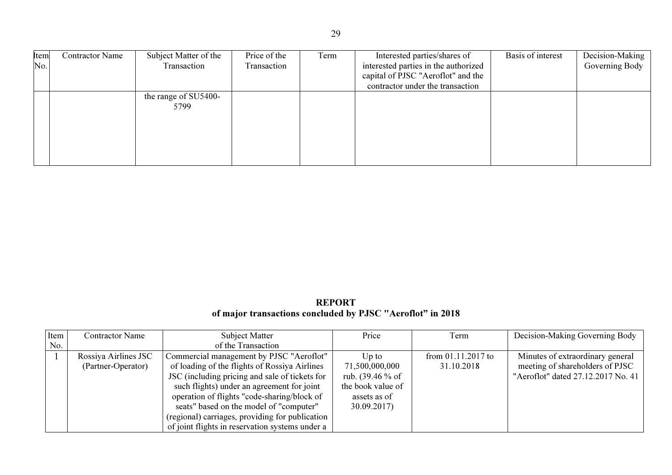| Item | <b>Contractor Name</b> | Subject Matter of the | Price of the | Term | Interested parties/shares of         | Basis of interest | Decision-Making |
|------|------------------------|-----------------------|--------------|------|--------------------------------------|-------------------|-----------------|
| No.  |                        | Transaction           | Transaction  |      | interested parties in the authorized |                   | Governing Body  |
|      |                        |                       |              |      | capital of PJSC "Aeroflot" and the   |                   |                 |
|      |                        |                       |              |      | contractor under the transaction     |                   |                 |
|      |                        | the range of SU5400-  |              |      |                                      |                   |                 |
|      |                        | 5799                  |              |      |                                      |                   |                 |
|      |                        |                       |              |      |                                      |                   |                 |
|      |                        |                       |              |      |                                      |                   |                 |
|      |                        |                       |              |      |                                      |                   |                 |
|      |                        |                       |              |      |                                      |                   |                 |
|      |                        |                       |              |      |                                      |                   |                 |

## REPORT of major transactions concluded by PJSC "Aeroflot" in 2018

| Item | Contractor Name      | <b>Subject Matter</b>                           | Price              | Term                 | Decision-Making Governing Body     |
|------|----------------------|-------------------------------------------------|--------------------|----------------------|------------------------------------|
| No.  |                      | of the Transaction                              |                    |                      |                                    |
|      | Rossiya Airlines JSC | Commercial management by PJSC "Aeroflot"        | Up to              | from $01.11.2017$ to | Minutes of extraordinary general   |
|      | (Partner-Operator)   | of loading of the flights of Rossiya Airlines   | 71,500,000,000     | 31.10.2018           | meeting of shareholders of PJSC    |
|      |                      | JSC (including pricing and sale of tickets for  | rub. $(39.46\%$ of |                      | "Aeroflot" dated 27.12.2017 No. 41 |
|      |                      | such flights) under an agreement for joint      | the book value of  |                      |                                    |
|      |                      | operation of flights "code-sharing/block of     | assets as of       |                      |                                    |
|      |                      | seats" based on the model of "computer"         | 30.09.2017         |                      |                                    |
|      |                      | (regional) carriages, providing for publication |                    |                      |                                    |
|      |                      | of joint flights in reservation systems under a |                    |                      |                                    |